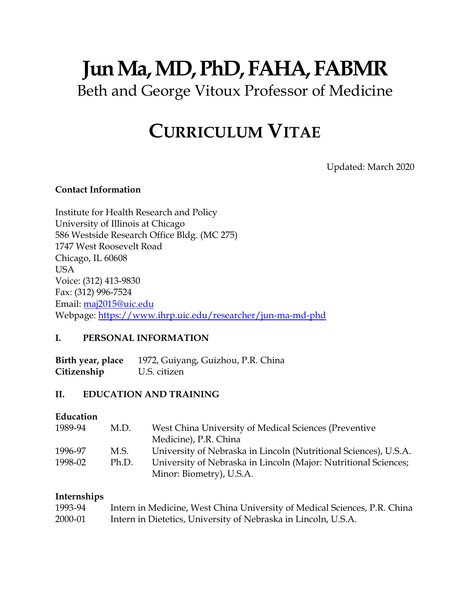# **Jun Ma, MD, PhD, FAHA, FABMR** Beth and George Vitoux Professor of Medicine

## **CURRICULUM VITAE**

Updated: March 2020

#### **Contact Information**

Institute for Health Research and Policy University of Illinois at Chicago 586 Westside Research Office Bldg. (MC 275) 1747 West Roosevelt Road Chicago, IL 60608 USA Voice: (312) 413-9830 Fax: (312) 996-7524 Email: [maj2015@uic.edu](mailto:maj2015@uic.edu) Webpage:<https://www.ihrp.uic.edu/researcher/jun-ma-md-phd>

#### **I. PERSONAL INFORMATION**

**Birth year, place** 1972, Guiyang, Guizhou, P.R. China **Citizenship** U.S. citizen

## **II. EDUCATION AND TRAINING**

## **Education**

| 1989-94 | M.D.  | West China University of Medical Sciences (Preventive            |
|---------|-------|------------------------------------------------------------------|
|         |       | Medicine), P.R. China                                            |
| 1996-97 | M.S.  | University of Nebraska in Lincoln (Nutritional Sciences), U.S.A. |
| 1998-02 | Ph.D. | University of Nebraska in Lincoln (Major: Nutritional Sciences;  |
|         |       | Minor: Biometry), U.S.A.                                         |

#### **Internships**

| 1993-94 | Intern in Medicine, West China University of Medical Sciences, P.R. China |
|---------|---------------------------------------------------------------------------|
| 2000-01 | Intern in Dietetics, University of Nebraska in Lincoln, U.S.A.            |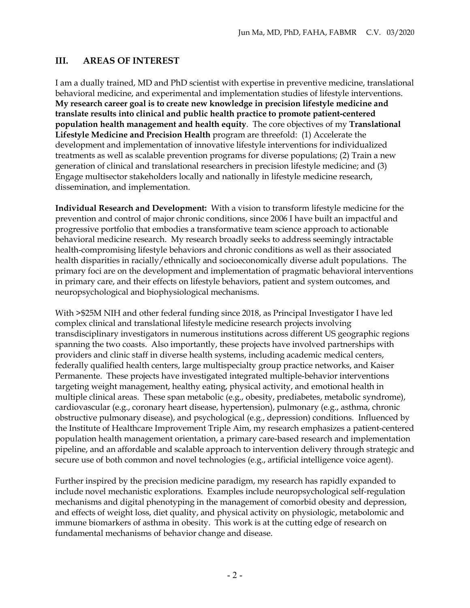#### **III. AREAS OF INTEREST**

I am a dually trained, MD and PhD scientist with expertise in preventive medicine, translational behavioral medicine, and experimental and implementation studies of lifestyle interventions. **My research career goal is to create new knowledge in precision lifestyle medicine and translate results into clinical and public health practice to promote patient-centered population health management and health equity**. The core objectives of my **Translational Lifestyle Medicine and Precision Health** program are threefold: (1) Accelerate the development and implementation of innovative lifestyle interventions for individualized treatments as well as scalable prevention programs for diverse populations; (2) Train a new generation of clinical and translational researchers in precision lifestyle medicine; and (3) Engage multisector stakeholders locally and nationally in lifestyle medicine research, dissemination, and implementation.

**Individual Research and Development:** With a vision to transform lifestyle medicine for the prevention and control of major chronic conditions, since 2006 I have built an impactful and progressive portfolio that embodies a transformative team science approach to actionable behavioral medicine research. My research broadly seeks to address seemingly intractable health-compromising lifestyle behaviors and chronic conditions as well as their associated health disparities in racially/ethnically and socioeconomically diverse adult populations. The primary foci are on the development and implementation of pragmatic behavioral interventions in primary care, and their effects on lifestyle behaviors, patient and system outcomes, and neuropsychological and biophysiological mechanisms.

With >\$25M NIH and other federal funding since 2018, as Principal Investigator I have led complex clinical and translational lifestyle medicine research projects involving transdisciplinary investigators in numerous institutions across different US geographic regions spanning the two coasts. Also importantly, these projects have involved partnerships with providers and clinic staff in diverse health systems, including academic medical centers, federally qualified health centers, large multispecialty group practice networks, and Kaiser Permanente. These projects have investigated integrated multiple-behavior interventions targeting weight management, healthy eating, physical activity, and emotional health in multiple clinical areas. These span metabolic (e.g., obesity, prediabetes, metabolic syndrome), cardiovascular (e.g., coronary heart disease, hypertension), pulmonary (e.g., asthma, chronic obstructive pulmonary disease), and psychological (e.g., depression) conditions. Influenced by the Institute of Healthcare Improvement Triple Aim, my research emphasizes a patient-centered population health management orientation, a primary care-based research and implementation pipeline, and an affordable and scalable approach to intervention delivery through strategic and secure use of both common and novel technologies (e.g., artificial intelligence voice agent).

Further inspired by the precision medicine paradigm, my research has rapidly expanded to include novel mechanistic explorations. Examples include neuropsychological self-regulation mechanisms and digital phenotyping in the management of comorbid obesity and depression, and effects of weight loss, diet quality, and physical activity on physiologic, metabolomic and immune biomarkers of asthma in obesity. This work is at the cutting edge of research on fundamental mechanisms of behavior change and disease.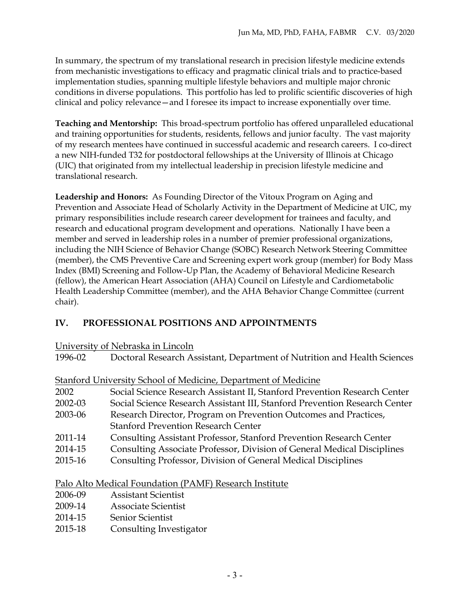In summary, the spectrum of my translational research in precision lifestyle medicine extends from mechanistic investigations to efficacy and pragmatic clinical trials and to practice-based implementation studies, spanning multiple lifestyle behaviors and multiple major chronic conditions in diverse populations. This portfolio has led to prolific scientific discoveries of high clinical and policy relevance—and I foresee its impact to increase exponentially over time.

**Teaching and Mentorship:** This broad-spectrum portfolio has offered unparalleled educational and training opportunities for students, residents, fellows and junior faculty. The vast majority of my research mentees have continued in successful academic and research careers. I co-direct a new NIH-funded T32 for postdoctoral fellowships at the University of Illinois at Chicago (UIC) that originated from my intellectual leadership in precision lifestyle medicine and translational research.

**Leadership and Honors:** As Founding Director of the Vitoux Program on Aging and Prevention and Associate Head of Scholarly Activity in the Department of Medicine at UIC, my primary responsibilities include research career development for trainees and faculty, and research and educational program development and operations. Nationally I have been a member and served in leadership roles in a number of premier professional organizations, including the NIH Science of Behavior Change (SOBC) Research Network Steering Committee (member), the CMS Preventive Care and Screening expert work group (member) for Body Mass Index (BMI) Screening and Follow-Up Plan, the Academy of Behavioral Medicine Research (fellow), the American Heart Association (AHA) Council on Lifestyle and Cardiometabolic Health Leadership Committee (member), and the AHA Behavior Change Committee (current chair).

## **IV. PROFESSIONAL POSITIONS AND APPOINTMENTS**

University of Nebraska in Lincoln

1996-02 Doctoral Research Assistant, Department of Nutrition and Health Sciences

|         | Stanford University School of Medicine, Department of Medicine             |
|---------|----------------------------------------------------------------------------|
| 2002    | Social Science Research Assistant II, Stanford Prevention Research Center  |
| 2002-03 | Social Science Research Assistant III, Stanford Prevention Research Center |
| 2003-06 | Research Director, Program on Prevention Outcomes and Practices,           |
|         | <b>Stanford Prevention Research Center</b>                                 |
| 2011-14 | Consulting Assistant Professor, Stanford Prevention Research Center        |
| 2014-15 | Consulting Associate Professor, Division of General Medical Disciplines    |

2015-16 Consulting Professor, Division of General Medical Disciplines

- Palo Alto Medical Foundation (PAMF) Research Institute
- 2006-09 Assistant Scientist
- 2009-14 Associate Scientist
- 2014-15 Senior Scientist
- 2015-18 Consulting Investigator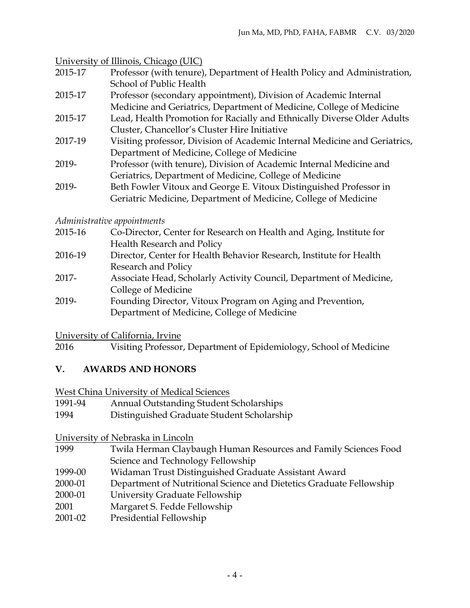University of Illinois, Chicago (UIC)

| 2015-17 | Professor (with tenure), Department of Health Policy and Administration, |
|---------|--------------------------------------------------------------------------|
|         | School of Public Health                                                  |

- 2015-17 Professor (secondary appointment), Division of Academic Internal Medicine and Geriatrics, Department of Medicine, College of Medicine
- 2015-17 Lead, Health Promotion for Racially and Ethnically Diverse Older Adults Cluster, Chancellor's Cluster Hire Initiative
- 2017-19 Visiting professor, Division of Academic Internal Medicine and Geriatrics, Department of Medicine, College of Medicine
- 2019- Professor (with tenure), Division of Academic Internal Medicine and Geriatrics, Department of Medicine, College of Medicine
- 2019- Beth Fowler Vitoux and George E. Vitoux Distinguished Professor in Geriatric Medicine, Department of Medicine, College of Medicine

## *Administrative appointments*

| 2015-16 | Co-Director, Center for Research on Health and Aging, Institute for |
|---------|---------------------------------------------------------------------|
|         | Health Research and Policy                                          |
| 2016-19 | Director, Center for Health Behavior Research, Institute for Health |
|         | Research and Policy                                                 |
| 2017-   | Associate Head, Scholarly Activity Council, Department of Medicine, |
|         | College of Medicine                                                 |
| 2019-   | Founding Director, Vitoux Program on Aging and Prevention,          |

Department of Medicine, College of Medicine

University of California, Irvine

2016 Visiting Professor, Department of Epidemiology, School of Medicine

## **V. AWARDS AND HONORS**

West China University of Medical Sciences

- 1991-94 Annual Outstanding Student Scholarships
- 1994 Distinguished Graduate Student Scholarship

## University of Nebraska in Lincoln

- 1999 Twila Herman Claybaugh Human Resources and Family Sciences Food Science and Technology Fellowship
- 1999-00 Widaman Trust Distinguished Graduate Assistant Award
- 2000-01 Department of Nutritional Science and Dietetics Graduate Fellowship
- 2000-01 University Graduate Fellowship
- 2001 Margaret S. Fedde Fellowship
- 2001-02 Presidential Fellowship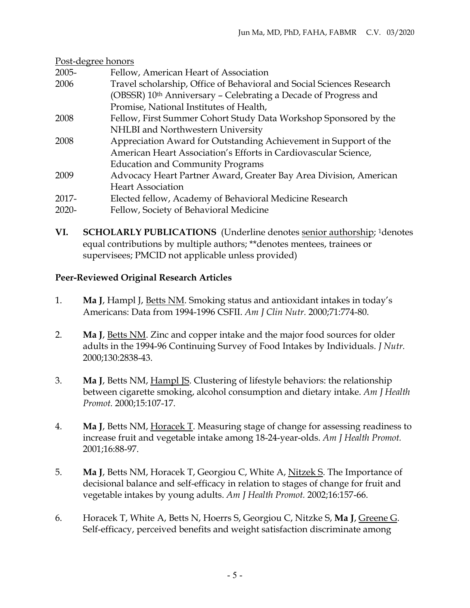| Post-degree honors |                                                                             |  |
|--------------------|-----------------------------------------------------------------------------|--|
| 2005-              | Fellow, American Heart of Association                                       |  |
| 2006               | Travel scholarship, Office of Behavioral and Social Sciences Research       |  |
|                    | (OBSSR) 10 <sup>th</sup> Anniversary - Celebrating a Decade of Progress and |  |
|                    | Promise, National Institutes of Health,                                     |  |
| 2008               | Fellow, First Summer Cohort Study Data Workshop Sponsored by the            |  |
|                    | NHLBI and Northwestern University                                           |  |
| 2008               | Appreciation Award for Outstanding Achievement in Support of the            |  |
|                    | American Heart Association's Efforts in Cardiovascular Science,             |  |
|                    | <b>Education and Community Programs</b>                                     |  |
| 2009               | Advocacy Heart Partner Award, Greater Bay Area Division, American           |  |
|                    | <b>Heart Association</b>                                                    |  |
| 2017-              | Elected fellow, Academy of Behavioral Medicine Research                     |  |
| $2020 -$           | Fellow, Society of Behavioral Medicine                                      |  |

**VI. SCHOLARLY PUBLICATIONS** (Underline denotes senior authorship; 1denotes equal contributions by multiple authors; \*\*denotes mentees, trainees or supervisees; PMCID not applicable unless provided)

## **Peer-Reviewed Original Research Articles**

- 1. **Ma J**, Hampl J, Betts NM. Smoking status and antioxidant intakes in today's Americans: Data from 1994-1996 CSFII. *Am J Clin Nutr.* 2000;71:774-80.
- 2. **Ma J**, Betts NM. Zinc and copper intake and the major food sources for older adults in the 1994-96 Continuing Survey of Food Intakes by Individuals. *J Nutr.* 2000;130:2838-43.
- 3. **Ma J**, Betts NM, Hampl JS. Clustering of lifestyle behaviors: the relationship between cigarette smoking, alcohol consumption and dietary intake. *Am J Health Promot.* 2000;15:107-17.
- 4. **Ma J**, Betts NM, Horacek T. Measuring stage of change for assessing readiness to increase fruit and vegetable intake among 18-24-year-olds. *Am J Health Promot.* 2001;16:88-97.
- 5. **Ma J**, Betts NM, Horacek T, Georgiou C, White A, Nitzek S. The Importance of decisional balance and self-efficacy in relation to stages of change for fruit and vegetable intakes by young adults. *Am J Health Promot.* 2002;16:157-66.
- 6. Horacek T, White A, Betts N, Hoerrs S, Georgiou C, Nitzke S, **Ma J**, Greene G. Self-efficacy, perceived benefits and weight satisfaction discriminate among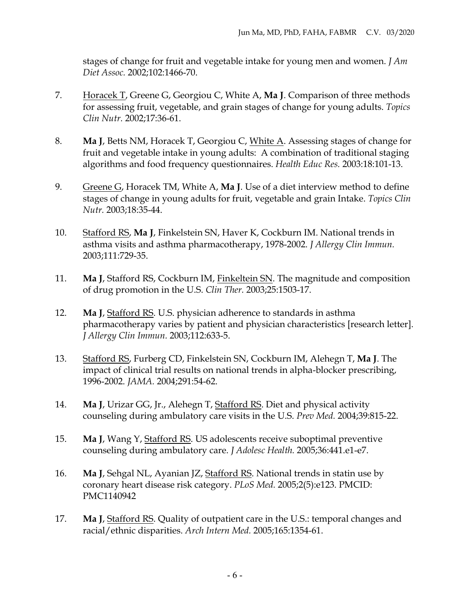stages of change for fruit and vegetable intake for young men and women. *J Am Diet Assoc.* 2002;102:1466-70.

- 7. Horacek T, Greene G, Georgiou C, White A, **Ma J**. Comparison of three methods for assessing fruit, vegetable, and grain stages of change for young adults. *Topics Clin Nutr.* 2002;17:36-61.
- 8. **Ma J**, Betts NM, Horacek T, Georgiou C, White A. Assessing stages of change for fruit and vegetable intake in young adults: A combination of traditional staging algorithms and food frequency questionnaires. *Health Educ Res.* 2003:18:101-13.
- 9. Greene G, Horacek TM, White A, **Ma J**. Use of a diet interview method to define stages of change in young adults for fruit, vegetable and grain Intake. *Topics Clin Nutr.* 2003;18:35-44.
- 10. Stafford RS, **Ma J**, Finkelstein SN, Haver K, Cockburn IM. National trends in asthma visits and asthma pharmacotherapy, 1978-2002. *J Allergy Clin Immun.* 2003;111:729-35.
- 11. **Ma J**, Stafford RS, Cockburn IM, Finkeltein SN. The magnitude and composition of drug promotion in the U.S. *Clin Ther.* 2003;25:1503-17.
- 12. **Ma J**, Stafford RS. U.S. physician adherence to standards in asthma pharmacotherapy varies by patient and physician characteristics [research letter]. *J Allergy Clin Immun.* 2003;112:633-5.
- 13. Stafford RS, Furberg CD, Finkelstein SN, Cockburn IM, Alehegn T, **Ma J**. The impact of clinical trial results on national trends in alpha-blocker prescribing, 1996-2002. *JAMA.* 2004;291:54-62.
- 14. **Ma J**, Urizar GG, Jr., Alehegn T, Stafford RS. Diet and physical activity counseling during ambulatory care visits in the U.S. *Prev Med.* 2004;39:815-22.
- 15. **Ma J**, Wang Y, Stafford RS. US adolescents receive suboptimal preventive counseling during ambulatory care. *J Adolesc Health.* 2005;36:441.e1-e7.
- 16. **Ma J**, Sehgal NL, Ayanian JZ, Stafford RS. National trends in statin use by coronary heart disease risk category. *PLoS Med.* 2005;2(5):e123. PMCID: PMC1140942
- 17. **Ma J**, Stafford RS. Quality of outpatient care in the U.S.: temporal changes and racial/ethnic disparities. *Arch Intern Med.* 2005;165:1354-61.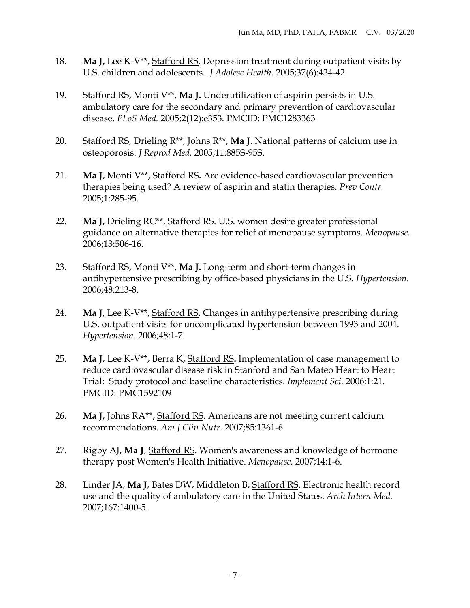- 18. **Ma J,** Lee K-V\*\*, Stafford RS. Depression treatment during outpatient visits by U.S. children and adolescents. *J Adolesc Health.* 2005;37(6):434-42.
- 19. Stafford RS, Monti V\*\*, **Ma J.** Underutilization of aspirin persists in U.S. ambulatory care for the secondary and primary prevention of cardiovascular disease. *PLoS Med.* 2005;2(12):e353. PMCID: PMC1283363
- 20. Stafford RS, Drieling R\*\*, Johns R\*\*, **Ma J**. National patterns of calcium use in osteoporosis. *J Reprod Med.* 2005;11:885S-95S.
- 21. **Ma J**, Monti V\*\*, Stafford RS**.** Are evidence-based cardiovascular prevention therapies being used? A review of aspirin and statin therapies. *Prev Contr.* 2005;1:285-95.
- 22. **Ma J**, Drieling RC\*\*, Stafford RS. U.S. women desire greater professional guidance on alternative therapies for relief of menopause symptoms. *Menopause.* 2006;13:506-16.
- 23. Stafford RS, Monti V\*\*, **Ma J.** Long-term and short-term changes in antihypertensive prescribing by office-based physicians in the U.S. *Hypertension.* 2006;48:213-8.
- 24. **Ma J**, Lee K-V\*\*, Stafford RS**.** Changes in antihypertensive prescribing during U.S. outpatient visits for uncomplicated hypertension between 1993 and 2004. *Hypertension.* 2006;48:1-7.
- 25. **Ma J**, Lee K-V\*\*, Berra K, Stafford RS**.** Implementation of case management to reduce cardiovascular disease risk in Stanford and San Mateo Heart to Heart Trial: Study protocol and baseline characteristics. *Implement Sci.* 2006;1:21. PMCID: PMC1592109
- 26. **Ma J**, Johns RA\*\*, Stafford RS. Americans are not meeting current calcium recommendations. *Am J Clin Nutr.* 2007;85:1361-6.
- 27. Rigby AJ, **Ma J**, Stafford RS. Women's awareness and knowledge of hormone therapy post Women's Health Initiative. *Menopause.* 2007;14:1-6.
- 28. Linder JA, **Ma J**, Bates DW, Middleton B, Stafford RS. Electronic health record use and the quality of ambulatory care in the United States. *Arch Intern Med.* 2007;167:1400-5.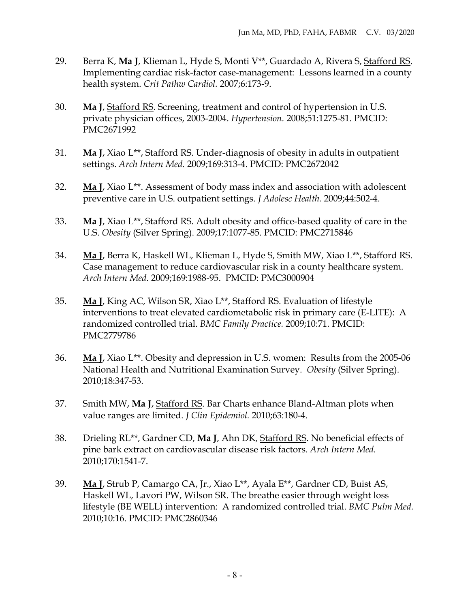- 29. Berra K, **Ma J**, Klieman L, Hyde S, Monti V\*\*, Guardado A, Rivera S, Stafford RS. Implementing cardiac risk-factor case-management: Lessons learned in a county health system. *Crit Pathw Cardiol.* 2007;6:173-9.
- 30. **Ma J**, Stafford RS. Screening, treatment and control of hypertension in U.S. private physician offices, 2003-2004. *Hypertension.* 2008;51:1275-81. PMCID: PMC2671992
- 31. **Ma J**, Xiao L\*\*, Stafford RS. Under-diagnosis of obesity in adults in outpatient settings. *Arch Intern Med.* 2009;169:313-4. PMCID: PMC2672042
- 32. **Ma J**, Xiao L\*\*. Assessment of body mass index and association with adolescent preventive care in U.S. outpatient settings. *J Adolesc Health.* 2009;44:502-4.
- 33. **Ma J**, Xiao L\*\*, Stafford RS. Adult obesity and office-based quality of care in the U.S. *Obesity* (Silver Spring). 2009;17:1077-85. PMCID: PMC2715846
- 34. **Ma J**, Berra K, Haskell WL, Klieman L, Hyde S, Smith MW, Xiao L\*\*, Stafford RS. Case management to reduce cardiovascular risk in a county healthcare system. *Arch Intern Med.* 2009;169:1988-95. PMCID: PMC3000904
- 35. **Ma J**, King AC, Wilson SR, Xiao L\*\*, Stafford RS. Evaluation of lifestyle interventions to treat elevated cardiometabolic risk in primary care (E-LITE): A randomized controlled trial. *BMC Family Practice.* 2009;10:71. PMCID: PMC2779786
- 36. **Ma J**, Xiao L\*\*. Obesity and depression in U.S. women: Results from the 2005-06 National Health and Nutritional Examination Survey. *Obesity* (Silver Spring). 2010;18:347-53.
- 37. Smith MW, **Ma J**, Stafford RS. Bar Charts enhance Bland-Altman plots when value ranges are limited. *J Clin Epidemiol.* 2010;63:180-4.
- 38. Drieling RL\*\*, Gardner CD, **Ma J**, Ahn DK, Stafford RS. No beneficial effects of pine bark extract on cardiovascular disease risk factors. *Arch Intern Med.* 2010;170:1541-7.
- 39. **Ma J**, Strub P, Camargo CA, Jr., Xiao L\*\*, Ayala E\*\*, Gardner CD, Buist AS, Haskell WL, Lavori PW, Wilson SR. The breathe easier through weight loss lifestyle (BE WELL) intervention: A randomized controlled trial. *BMC Pulm Med.* 2010;10:16. PMCID: PMC2860346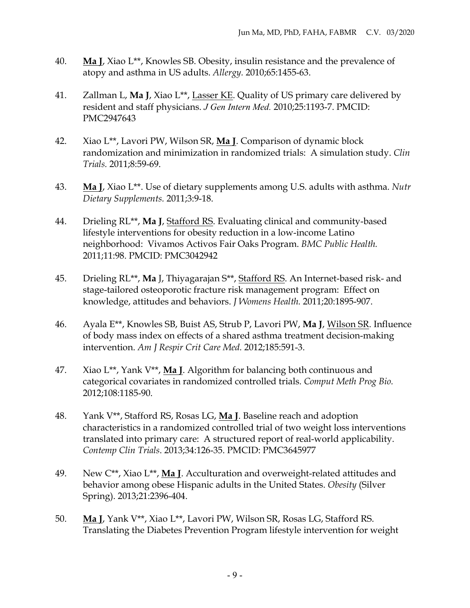- 40. **Ma J**, Xiao L\*\*, Knowles SB. Obesity, insulin resistance and the prevalence of atopy and asthma in US adults. *Allergy.* 2010;65:1455-63.
- 41. Zallman L, **Ma J**, Xiao L\*\*, Lasser KE. Quality of US primary care delivered by resident and staff physicians. *J Gen Intern Med.* 2010;25:1193-7. PMCID: PMC2947643
- 42. Xiao L\*\*, Lavori PW, Wilson SR, **Ma J**. Comparison of dynamic block randomization and minimization in randomized trials: A simulation study. *Clin Trials.* 2011;8:59-69.
- 43. **Ma J**, Xiao L\*\*. Use of dietary supplements among U.S. adults with asthma. *Nutr Dietary Supplements.* 2011;3:9-18.
- 44. Drieling RL\*\*, **Ma J**, Stafford RS. Evaluating clinical and community-based lifestyle interventions for obesity reduction in a low-income Latino neighborhood: Vivamos Activos Fair Oaks Program. *BMC Public Health.* 2011;11:98. PMCID: PMC3042942
- 45. Drieling RL\*\*, **Ma** J, Thiyagarajan S\*\*, Stafford RS. An Internet-based risk- and stage-tailored osteoporotic fracture risk management program: Effect on knowledge, attitudes and behaviors. *J Womens Health.* 2011;20:1895-907.
- 46. Ayala E\*\*, Knowles SB, Buist AS, Strub P, Lavori PW, **Ma J**, Wilson SR. Influence of body mass index on effects of a shared asthma treatment decision-making intervention. *Am J Respir Crit Care Med.* 2012;185:591-3.
- 47. Xiao L\*\*, Yank V\*\*, **Ma J**. Algorithm for balancing both continuous and categorical covariates in randomized controlled trials. *Comput Meth Prog Bio.* 2012;108:1185-90.
- 48. Yank V\*\*, Stafford RS, Rosas LG, **Ma J**. Baseline reach and adoption characteristics in a randomized controlled trial of two weight loss interventions translated into primary care: A structured report of real-world applicability. *Contemp Clin Trials*. 2013;34:126-35. PMCID: PMC3645977
- 49. New C\*\*, Xiao L\*\*, **Ma J**. Acculturation and overweight-related attitudes and behavior among obese Hispanic adults in the United States. *Obesity* (Silver Spring). 2013;21:2396-404.
- 50. **Ma J**, Yank V\*\*, Xiao L\*\*, Lavori PW, Wilson SR, Rosas LG, Stafford RS. Translating the Diabetes Prevention Program lifestyle intervention for weight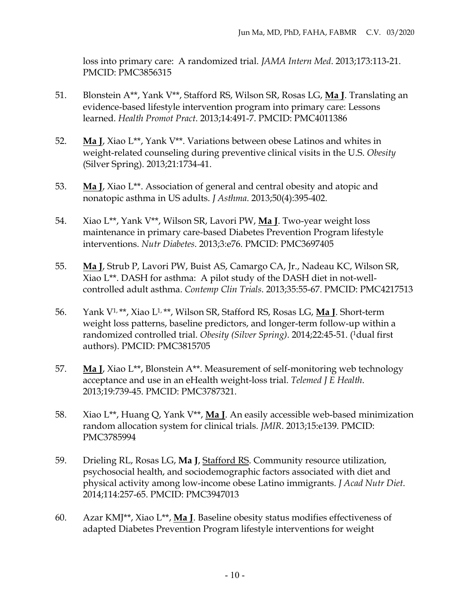loss into primary care: A randomized trial. *JAMA Intern Med*. 2013;173:113-21. PMCID: PMC3856315

- 51. Blonstein A\*\*, Yank V\*\*, Stafford RS, Wilson SR, Rosas LG, **Ma J**. Translating an evidence-based lifestyle intervention program into primary care: Lessons learned. *Health Promot Pract*. 2013;14:491-7. PMCID: PMC4011386
- 52. **Ma J**, Xiao L\*\*, Yank V\*\*. Variations between obese Latinos and whites in weight-related counseling during preventive clinical visits in the U.S. *Obesity* (Silver Spring). 2013;21:1734-41.
- 53. **Ma J**, Xiao L\*\*. Association of general and central obesity and atopic and nonatopic asthma in US adults. *J Asthma*. 2013;50(4):395-402.
- 54. Xiao L\*\*, Yank V\*\*, Wilson SR, Lavori PW, **Ma J**. Two-year weight loss maintenance in primary care-based Diabetes Prevention Program lifestyle interventions. *Nutr Diabetes*. 2013;3:e76. PMCID: PMC3697405
- 55. **Ma J**, Strub P, Lavori PW, Buist AS, Camargo CA, Jr., Nadeau KC, Wilson SR, Xiao L\*\*. DASH for asthma: A pilot study of the DASH diet in not-wellcontrolled adult asthma. *Contemp Clin Trials*. 2013;35:55-67. PMCID: PMC4217513
- 56. Yank V1,\*\*, Xiao L1,\*\*, Wilson SR, Stafford RS, Rosas LG, **Ma J**. Short-term weight loss patterns, baseline predictors, and longer-term follow-up within a randomized controlled trial. *Obesity (Silver Spring)*. 2014;22:45-51. (1dual first authors). PMCID: PMC3815705
- 57. **Ma J**, Xiao L\*\*, Blonstein A\*\*. Measurement of self-monitoring web technology acceptance and use in an eHealth weight-loss trial. *Telemed J E Health*. 2013;19:739-45. PMCID: PMC3787321.
- 58. Xiao L\*\*, Huang Q, Yank V\*\*, **Ma J**. An easily accessible web-based minimization random allocation system for clinical trials. *JMIR*. 2013;15:e139. PMCID: PMC3785994
- 59. Drieling RL, Rosas LG, **Ma J**, Stafford RS. Community resource utilization, psychosocial health, and sociodemographic factors associated with diet and physical activity among low-income obese Latino immigrants. *J Acad Nutr Diet*. 2014;114:257-65. PMCID: PMC3947013
- 60. Azar KMJ\*\*, Xiao L\*\*, **Ma J**. Baseline obesity status modifies effectiveness of adapted Diabetes Prevention Program lifestyle interventions for weight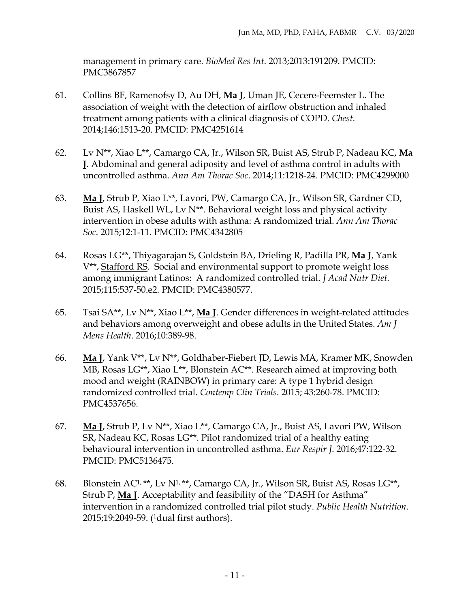management in primary care. *BioMed Res Int*. 2013;2013:191209. PMCID: PMC3867857

- 61. Collins BF, Ramenofsy D, Au DH, **Ma J**, Uman JE, Cecere-Feemster L. The association of weight with the detection of airflow obstruction and inhaled treatment among patients with a clinical diagnosis of COPD. *Chest*. 2014;146:1513-20. PMCID: PMC4251614
- 62. Lv N\*\*, Xiao L\*\*, Camargo CA, Jr., Wilson SR, Buist AS, Strub P, Nadeau KC, **Ma J**. Abdominal and general adiposity and level of asthma control in adults with uncontrolled asthma. *Ann Am Thorac Soc*. 2014;11:1218-24. PMCID: PMC4299000
- 63. **Ma J**, Strub P, Xiao L\*\*, Lavori, PW, Camargo CA, Jr., Wilson SR, Gardner CD, Buist AS, Haskell WL, Lv N\*\*. Behavioral weight loss and physical activity intervention in obese adults with asthma: A randomized trial. *Ann Am Thorac Soc*. 2015;12:1-11. PMCID: PMC4342805
- 64. Rosas LG\*\*, Thiyagarajan S, Goldstein BA, Drieling R, Padilla PR, **Ma J**, Yank V\*\*, Stafford RS. Social and environmental support to promote weight loss among immigrant Latinos: A randomized controlled trial. *J Acad Nutr Diet*. 2015;115:537-50.e2. PMCID: PMC4380577.
- 65. Tsai SA\*\*, Lv N\*\*, Xiao L\*\*, **Ma J**. Gender differences in weight-related attitudes and behaviors among overweight and obese adults in the United States. *Am J Mens Health*. 2016;10:389-98.
- 66. **Ma J**, Yank V\*\*, Lv N\*\*, Goldhaber-Fiebert JD, Lewis MA, Kramer MK, Snowden MB, Rosas LG\*\*, Xiao L\*\*, Blonstein AC\*\*. Research aimed at improving both mood and weight (RAINBOW) in primary care: A type 1 hybrid design randomized controlled trial. *Contemp Clin Trials*. 2015; 43:260-78. PMCID: PMC4537656.
- 67. **Ma J**, Strub P, Lv N\*\*, Xiao L\*\*, Camargo CA, Jr., Buist AS, Lavori PW, Wilson SR, Nadeau KC, Rosas LG\*\*. Pilot randomized trial of a healthy eating behavioural intervention in uncontrolled asthma. *Eur Respir J*. 2016;47:122-32. PMCID: PMC5136475.
- 68. Blonstein AC1,\*\*, Lv N1,\*\*, Camargo CA, Jr., Wilson SR, Buist AS, Rosas LG\*\*, Strub P, **Ma J**. Acceptability and feasibility of the "DASH for Asthma" intervention in a randomized controlled trial pilot study. *Public Health Nutrition*. 2015;19:2049-59. (1dual first authors).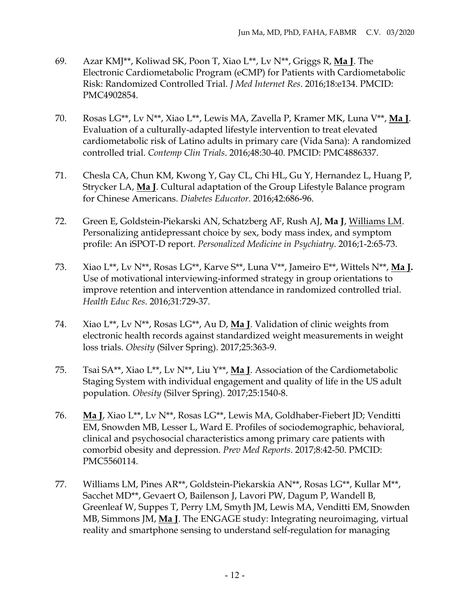- 69. Azar KMJ\*\*, Koliwad SK, Poon T, Xiao L\*\*, Lv N\*\*, Griggs R, **Ma J**. The Electronic Cardiometabolic Program (eCMP) for Patients with Cardiometabolic Risk: Randomized Controlled Trial. *J Med Internet Res*. 2016;18:e134. PMCID: PMC4902854.
- 70. Rosas LG\*\*, Lv N\*\*, Xiao L\*\*, Lewis MA, Zavella P, Kramer MK, Luna V\*\*, **Ma J**. Evaluation of a culturally-adapted lifestyle intervention to treat elevated cardiometabolic risk of Latino adults in primary care (Vida Sana): A randomized controlled trial. *Contemp Clin Trials*. 2016;48:30-40. PMCID: PMC4886337.
- 71. Chesla CA, Chun KM, Kwong Y, Gay CL, Chi HL, Gu Y, Hernandez L, Huang P, Strycker LA, **Ma J**. Cultural adaptation of the Group Lifestyle Balance program for Chinese Americans. *Diabetes Educator*. 2016;42:686-96.
- 72. Green E, Goldstein-Piekarski AN, Schatzberg AF, Rush AJ, **Ma J**, Williams LM. Personalizing antidepressant choice by sex, body mass index, and symptom profile: An iSPOT-D report. *Personalized Medicine in Psychiatry*. 2016;1-2:65-73.
- 73. Xiao L\*\*, Lv N\*\*, Rosas LG\*\*, Karve S\*\*, Luna V\*\*, Jameiro E\*\*, Wittels N\*\*, **Ma J.** Use of motivational interviewing-informed strategy in group orientations to improve retention and intervention attendance in randomized controlled trial. *Health Educ Res*. 2016;31:729-37.
- 74. Xiao L\*\*, Lv N\*\*, Rosas LG\*\*, Au D, **Ma J**. Validation of clinic weights from electronic health records against standardized weight measurements in weight loss trials. *Obesity* (Silver Spring). 2017;25:363-9.
- 75. Tsai SA\*\*, Xiao L\*\*, Lv N\*\*, Liu Y\*\*, **Ma J**. Association of the Cardiometabolic Staging System with individual engagement and quality of life in the US adult population. *Obesity* (Silver Spring). 2017;25:1540-8.
- 76. **Ma J**, Xiao L\*\*, Lv N\*\*, Rosas LG\*\*, Lewis MA, Goldhaber-Fiebert JD; Venditti EM, Snowden MB, Lesser L, Ward E. Profiles of sociodemographic, behavioral, clinical and psychosocial characteristics among primary care patients with comorbid obesity and depression. *Prev Med Reports*. 2017;8:42-50. PMCID: PMC5560114.
- 77. Williams LM, Pines AR\*\*, Goldstein-Piekarskia AN\*\*, Rosas LG\*\*, Kullar M\*\*, Sacchet MD\*\*, Gevaert O, Bailenson J, Lavori PW, Dagum P, Wandell B, Greenleaf W, Suppes T, Perry LM, Smyth JM, Lewis MA, Venditti EM, Snowden MB, Simmons JM, **Ma J**. The ENGAGE study: Integrating neuroimaging, virtual reality and smartphone sensing to understand self-regulation for managing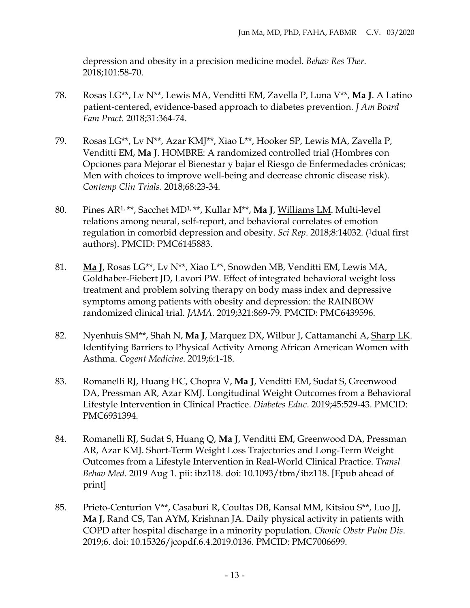depression and obesity in a precision medicine model. *Behav Res Ther*. 2018;101:58-70.

- 78. Rosas LG\*\*, Lv N\*\*, Lewis MA, Venditti EM, Zavella P, Luna V\*\*, **Ma J**. A Latino patient-centered, evidence-based approach to diabetes prevention. *J Am Board Fam Pract*. 2018;31:364-74.
- 79. Rosas LG\*\*, Lv N\*\*, Azar KMJ\*\*, Xiao L\*\*, Hooker SP, Lewis MA, Zavella P, Venditti EM, **Ma J**. HOMBRE: A randomized controlled trial (Hombres con Opciones para Mejorar el Bienestar y bajar el Riesgo de Enfermedades crónicas; Men with choices to improve well-being and decrease chronic disease risk). *Contemp Clin Trials*. 2018;68:23-34.
- 80. Pines AR1,\*\*, Sacchet MD1, \*\*, Kullar M\*\*, **Ma J**, Williams LM. Multi-level relations among neural, self-report, and behavioral correlates of emotion regulation in comorbid depression and obesity. *Sci Rep*. 2018;8:14032. (1dual first authors). PMCID: PMC6145883.
- 81. **Ma J**, Rosas LG\*\*, Lv N\*\*, Xiao L\*\*, Snowden MB, Venditti EM, Lewis MA, Goldhaber-Fiebert JD, Lavori PW. Effect of integrated behavioral weight loss treatment and problem solving therapy on body mass index and depressive symptoms among patients with obesity and depression: the RAINBOW randomized clinical trial. *JAMA*. 2019;321:869-79. PMCID: PMC6439596.
- 82. Nyenhuis SM\*\*, Shah N, **Ma J**, Marquez DX, Wilbur J, Cattamanchi A, Sharp LK. Identifying Barriers to Physical Activity Among African American Women with Asthma. *Cogent Medicine*. 2019;6:1-18.
- 83. Romanelli RJ, Huang HC, Chopra V, **Ma J**, Venditti EM, Sudat S, Greenwood DA, Pressman AR, Azar KMJ. Longitudinal Weight Outcomes from a Behavioral Lifestyle Intervention in Clinical Practice. *Diabetes Educ*. 2019;45:529-43. PMCID: PMC6931394.
- 84. Romanelli RJ, Sudat S, Huang Q, **Ma J**, Venditti EM, Greenwood DA, Pressman AR, Azar KMJ. Short-Term Weight Loss Trajectories and Long-Term Weight Outcomes from a Lifestyle Intervention in Real-World Clinical Practice. *Transl Behav Med*. 2019 Aug 1. pii: ibz118. doi: 10.1093/tbm/ibz118. [Epub ahead of print]
- 85. Prieto-Centurion V\*\*, Casaburi R, Coultas DB, Kansal MM, Kitsiou S\*\*, Luo JJ, **Ma J**, Rand CS, Tan AYM, Krishnan JA. Daily physical activity in patients with COPD after hospital discharge in a minority population. *Chonic Obstr Pulm Dis*. 2019;6. doi: 10.15326/jcopdf.6.4.2019.0136. PMCID: PMC7006699.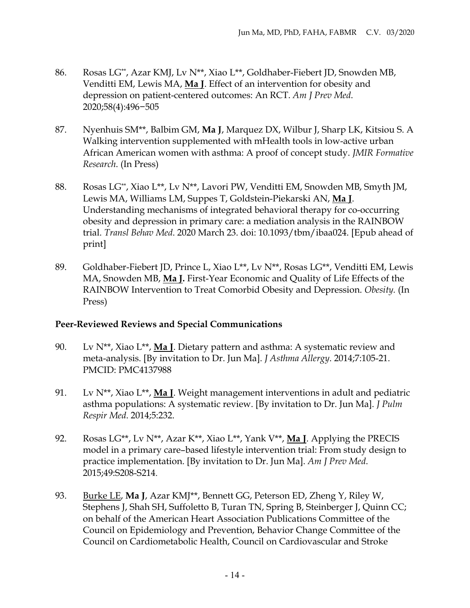- 86. Rosas LG\*\*, Azar KMJ, Lv N\*\*, Xiao L\*\*, Goldhaber-Fiebert JD, Snowden MB, Venditti EM, Lewis MA, **Ma J**. Effect of an intervention for obesity and depression on patient-centered outcomes: An RCT. *Am J Prev Med*. 2020;58(4):496−505
- 87. Nyenhuis SM\*\*, Balbim GM, **Ma J**, Marquez DX, Wilbur J, Sharp LK, Kitsiou S. A Walking intervention supplemented with mHealth tools in low-active urban African American women with asthma: A proof of concept study. *JMIR Formative Research*. (In Press)
- 88. Rosas LG\*\*, Xiao L\*\*, Lv N\*\*, Lavori PW, Venditti EM, Snowden MB, Smyth JM, Lewis MA, Williams LM, Suppes T, Goldstein-Piekarski AN, **Ma J**. Understanding mechanisms of integrated behavioral therapy for co-occurring obesity and depression in primary care: a mediation analysis in the RAINBOW trial. *Transl Behav Med*. 2020 March 23. doi: 10.1093/tbm/ibaa024. [Epub ahead of print]
- 89. Goldhaber-Fiebert JD, Prince L, Xiao L\*\*, Lv N\*\*, Rosas LG\*\*, Venditti EM, Lewis MA, Snowden MB, **Ma J.** First-Year Economic and Quality of Life Effects of the RAINBOW Intervention to Treat Comorbid Obesity and Depression. *Obesity.* (In Press)

## **Peer-Reviewed Reviews and Special Communications**

- 90. Lv N\*\*, Xiao L\*\*, **Ma J**. Dietary pattern and asthma: A systematic review and meta-analysis. [By invitation to Dr. Jun Ma]. *J Asthma Allergy*. 2014;7:105-21. PMCID: PMC4137988
- 91. Lv N\*\*, Xiao L\*\*, **Ma J**. Weight management interventions in adult and pediatric asthma populations: A systematic review. [By invitation to Dr. Jun Ma]. *J Pulm Respir Med*. 2014;5:232.
- 92. Rosas LG\*\*, Lv N\*\*, Azar K\*\*, Xiao L\*\*, Yank V\*\*, **Ma J**. Applying the PRECIS model in a primary care–based lifestyle intervention trial: From study design to practice implementation. [By invitation to Dr. Jun Ma]. *Am J Prev Med*. 2015;49:S208-S214.
- 93. Burke LE, **Ma J**, Azar KMJ\*\*, Bennett GG, Peterson ED, Zheng Y, Riley W, Stephens J, Shah SH, Suffoletto B, Turan TN, Spring B, Steinberger J, Quinn CC; on behalf of the American Heart Association Publications Committee of the Council on Epidemiology and Prevention, Behavior Change Committee of the Council on Cardiometabolic Health, Council on Cardiovascular and Stroke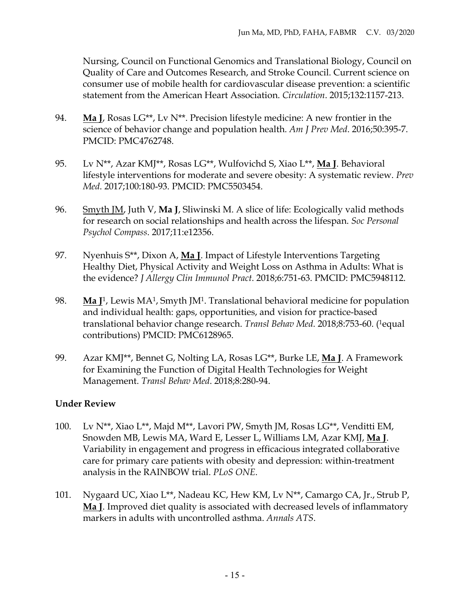Nursing, Council on Functional Genomics and Translational Biology, Council on Quality of Care and Outcomes Research, and Stroke Council. Current science on consumer use of mobile health for cardiovascular disease prevention: a scientific statement from the American Heart Association. *Circulation*. 2015;132:1157-213.

- 94. **Ma J**, Rosas LG\*\*, Lv N\*\*. Precision lifestyle medicine: A new frontier in the science of behavior change and population health. *Am J Prev Med*. 2016;50:395-7. PMCID: PMC4762748.
- 95. Lv N\*\*, Azar KMJ\*\*, Rosas LG\*\*, Wulfovichd S, Xiao L\*\*, **Ma J**. Behavioral lifestyle interventions for moderate and severe obesity: A systematic review. *Prev Med*. 2017;100:180-93. PMCID: PMC5503454.
- 96. Smyth JM, Juth V, **Ma J**, Sliwinski M. A slice of life: Ecologically valid methods for research on social relationships and health across the lifespan. *Soc Personal Psychol Compass*. 2017;11:e12356.
- 97. Nyenhuis S\*\*, Dixon A, **Ma J**. Impact of Lifestyle Interventions Targeting Healthy Diet, Physical Activity and Weight Loss on Asthma in Adults: What is the evidence? *J Allergy Clin Immunol Pract*. 2018;6:751-63. PMCID: PMC5948112.
- 98. **Ma J**1, Lewis MA1, Smyth JM1. Translational behavioral medicine for population and individual health: gaps, opportunities, and vision for practice-based translational behavior change research. *Transl Behav Med*. 2018;8:753-60. (1equal contributions) PMCID: PMC6128965.
- 99. Azar KMJ\*\*, Bennet G, Nolting LA, Rosas LG\*\*, Burke LE, **Ma J**. A Framework for Examining the Function of Digital Health Technologies for Weight Management. *Transl Behav Med*. 2018;8:280-94.

## **Under Review**

- 100. Lv N\*\*, Xiao L\*\*, Majd M\*\*, Lavori PW, Smyth JM, Rosas LG\*\*, Venditti EM, Snowden MB, Lewis MA, Ward E, Lesser L, Williams LM, Azar KMJ, **Ma J**. Variability in engagement and progress in efficacious integrated collaborative care for primary care patients with obesity and depression: within-treatment analysis in the RAINBOW trial. *PLoS ONE*.
- 101. Nygaard UC, Xiao L\*\*, Nadeau KC, Hew KM, Lv N\*\*, Camargo CA, Jr., Strub P, **Ma J**. Improved diet quality is associated with decreased levels of inflammatory markers in adults with uncontrolled asthma. *Annals ATS*.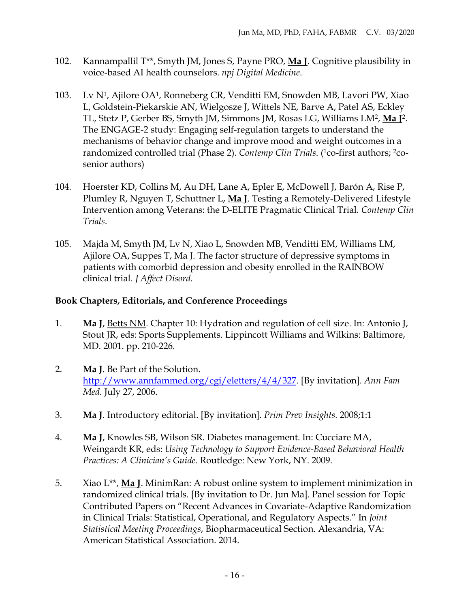- 102. Kannampallil T\*\*, Smyth JM, Jones S, Payne PRO, **Ma J**. Cognitive plausibility in voice-based AI health counselors. *npj Digital Medicine*.
- 103. Lv N1, Ajilore OA1, Ronneberg CR, Venditti EM, Snowden MB, Lavori PW, Xiao L, Goldstein-Piekarskie AN, Wielgosze J, Wittels NE, Barve A, Patel AS, Eckley TL, Stetz P, Gerber BS, Smyth JM, Simmons JM, Rosas LG, Williams LM2, **Ma J**2. The ENGAGE-2 study: Engaging self-regulation targets to understand the mechanisms of behavior change and improve mood and weight outcomes in a randomized controlled trial (Phase 2). *Contemp Clin Trials*. (<sup>1</sup>co-first authors; <sup>2</sup>cosenior authors)
- 104. Hoerster KD, Collins M, Au DH, Lane A, Epler E, McDowell J, Barón A, Rise P, Plumley R, Nguyen T, Schuttner L, **Ma J**. Testing a Remotely-Delivered Lifestyle Intervention among Veterans: the D-ELITE Pragmatic Clinical Trial. *Contemp Clin Trials*.
- 105. Majda M, Smyth JM, Lv N, Xiao L, Snowden MB, Venditti EM, Williams LM, Ajilore OA, Suppes T, Ma J. The factor structure of depressive symptoms in patients with comorbid depression and obesity enrolled in the RAINBOW clinical trial. *J Affect Disord.*

## **Book Chapters, Editorials, and Conference Proceedings**

- 1. **Ma J**, Betts NM. Chapter 10: Hydration and regulation of cell size. In: Antonio J, Stout JR, eds: Sports Supplements. Lippincott Williams and Wilkins: Baltimore, MD. 2001. pp. 210-226.
- 2. **Ma J**. Be Part of the Solution. [http://www.annfammed.org/cgi/eletters/4/4/327.](http://www.annfammed.org/cgi/eletters/4/4/327) [By invitation]. *Ann Fam Med.* July 27, 2006.
- 3. **Ma J**. Introductory editorial. [By invitation]. *Prim Prev Insights.* 2008;1:1
- 4. **Ma J**, Knowles SB, Wilson SR. Diabetes management. In: Cucciare MA, Weingardt KR, eds: *Using Technology to Support Evidence-Based Behavioral Health Practices: A Clinician's Guide*. Routledge: New York, NY. 2009.
- 5. Xiao L\*\*, **Ma J**. MinimRan: A robust online system to implement minimization in randomized clinical trials. [By invitation to Dr. Jun Ma]. Panel session for Topic Contributed Papers on "Recent Advances in Covariate-Adaptive Randomization in Clinical Trials: Statistical, Operational, and Regulatory Aspects." In *Joint Statistical Meeting Proceedings*, Biopharmaceutical Section. Alexandria, VA: American Statistical Association. 2014.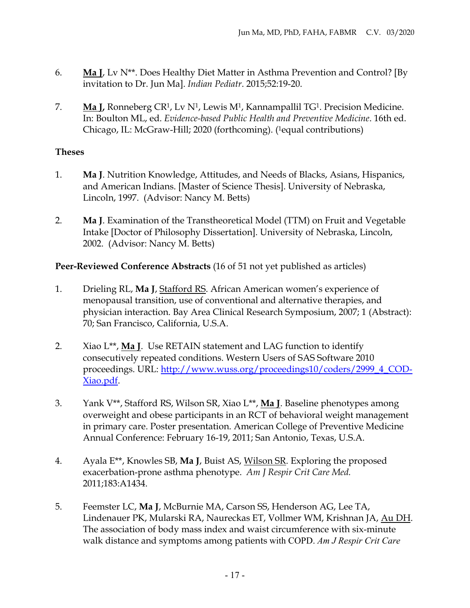- 6. **Ma J**, Lv N\*\*. Does Healthy Diet Matter in Asthma Prevention and Control? [By invitation to Dr. Jun Ma]. *Indian Pediatr*. 2015;52:19-20.
- 7. **Ma J,** Ronneberg CR1, Lv N1, Lewis M1, Kannampallil TG1. Precision Medicine. In: Boulton ML, ed. *Evidence-based Public Health and Preventive Medicine*. 16th ed. Chicago, IL: McGraw-Hill; 2020 (forthcoming). (1equal contributions)

## **Theses**

- 1. **Ma J**. Nutrition Knowledge, Attitudes, and Needs of Blacks, Asians, Hispanics, and American Indians. [Master of Science Thesis]. University of Nebraska, Lincoln, 1997. (Advisor: Nancy M. Betts)
- 2. **Ma J**. Examination of the Transtheoretical Model (TTM) on Fruit and Vegetable Intake [Doctor of Philosophy Dissertation]. University of Nebraska, Lincoln, 2002. (Advisor: Nancy M. Betts)

## **Peer-Reviewed Conference Abstracts** (16 of 51 not yet published as articles)

- 1. Drieling RL, **Ma J**, Stafford RS. African American women's experience of menopausal transition, use of conventional and alternative therapies, and physician interaction. Bay Area Clinical Research Symposium, 2007; 1 (Abstract): 70; San Francisco, California, U.S.A.
- 2. Xiao L\*\*, **Ma J**. Use RETAIN statement and LAG function to identify consecutively repeated conditions. Western Users of SAS Software 2010 proceedings. URL: [http://www.wuss.org/proceedings10/coders/2999\\_4\\_COD-](http://www.wuss.org/proceedings10/coders/2999_4_COD-Xiao.pdf)[Xiao.pdf.](http://www.wuss.org/proceedings10/coders/2999_4_COD-Xiao.pdf)
- 3. Yank V\*\*, Stafford RS, Wilson SR, Xiao L\*\*, **Ma J**. Baseline phenotypes among overweight and obese participants in an RCT of behavioral weight management in primary care. Poster presentation. American College of Preventive Medicine Annual Conference: February 16-19, 2011; San Antonio, Texas, U.S.A.
- 4. Ayala E\*\*, Knowles SB, **Ma J**, Buist AS, Wilson SR. Exploring the proposed exacerbation-prone asthma phenotype. *Am J Respir Crit Care Med.* 2011;183:A1434.
- 5. Feemster LC, **Ma J**, McBurnie MA, Carson SS, Henderson AG, Lee TA, Lindenauer PK, Mularski RA, Naureckas ET, Vollmer WM, Krishnan JA, Au DH. The association of body mass index and waist circumference with six-minute walk distance and symptoms among patients with COPD. *Am J Respir Crit Care*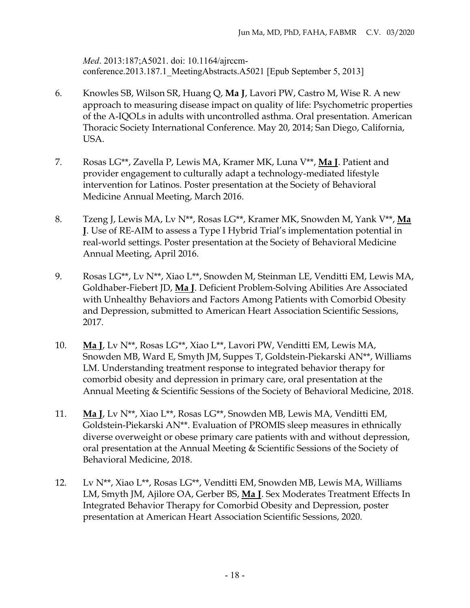*Med*. 2013:187;A5021. doi: 10.1164/ajrccmconference.2013.187.1 MeetingAbstracts.A5021 [Epub September 5, 2013]

- 6. Knowles SB, Wilson SR, Huang Q, **Ma J**, Lavori PW, Castro M, Wise R. A new approach to measuring disease impact on quality of life: Psychometric properties of the A-IQOLs in adults with uncontrolled asthma. Oral presentation. American Thoracic Society International Conference. May 20, 2014; San Diego, California, USA.
- 7. Rosas LG\*\*, Zavella P, Lewis MA, Kramer MK, Luna V\*\*, **Ma J**. Patient and provider engagement to culturally adapt a technology-mediated lifestyle intervention for Latinos. Poster presentation at the Society of Behavioral Medicine Annual Meeting, March 2016.
- 8. Tzeng J, Lewis MA, Lv N\*\*, Rosas LG\*\*, Kramer MK, Snowden M, Yank V\*\*, **Ma J**. Use of RE-AIM to assess a Type I Hybrid Trial's implementation potential in real-world settings. Poster presentation at the Society of Behavioral Medicine Annual Meeting, April 2016.
- 9. Rosas LG\*\*, Lv N\*\*, Xiao L\*\*, Snowden M, Steinman LE, Venditti EM, Lewis MA, Goldhaber-Fiebert JD, **Ma J**. Deficient Problem-Solving Abilities Are Associated with Unhealthy Behaviors and Factors Among Patients with Comorbid Obesity and Depression, submitted to American Heart Association Scientific Sessions, 2017.
- 10. **Ma J**, Lv N\*\*, Rosas LG\*\*, Xiao L\*\*, Lavori PW, Venditti EM, Lewis MA, Snowden MB, Ward E, Smyth JM, Suppes T, Goldstein-Piekarski AN\*\*, Williams LM. Understanding treatment response to integrated behavior therapy for comorbid obesity and depression in primary care, oral presentation at the Annual Meeting & Scientific Sessions of the Society of Behavioral Medicine, 2018.
- 11. **Ma J**, Lv N\*\*, Xiao L\*\*, Rosas LG\*\*, Snowden MB, Lewis MA, Venditti EM, Goldstein-Piekarski AN\*\*. Evaluation of PROMIS sleep measures in ethnically diverse overweight or obese primary care patients with and without depression, oral presentation at the Annual Meeting & Scientific Sessions of the Society of Behavioral Medicine, 2018.
- 12. Lv N\*\*, Xiao L\*\*, Rosas LG\*\*, Venditti EM, Snowden MB, Lewis MA, Williams LM, Smyth JM, Ajilore OA, Gerber BS, **Ma J**. Sex Moderates Treatment Effects In Integrated Behavior Therapy for Comorbid Obesity and Depression, poster presentation at American Heart Association Scientific Sessions, 2020.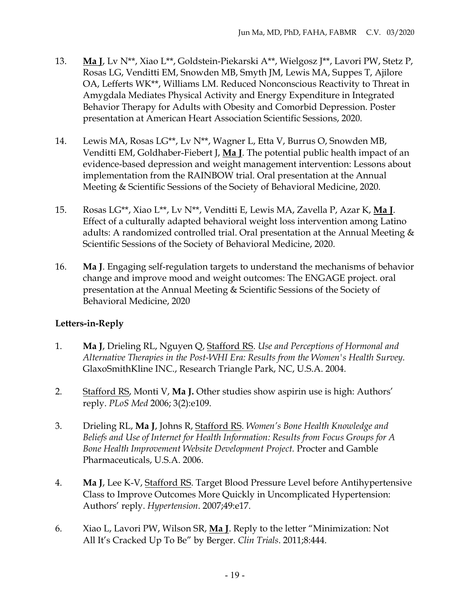- 13. **Ma J**, Lv N\*\*, Xiao L\*\*, Goldstein-Piekarski A\*\*, Wielgosz J\*\*, Lavori PW, Stetz P, Rosas LG, Venditti EM, Snowden MB, Smyth JM, Lewis MA, Suppes T, Ajilore OA, Lefferts WK\*\*, Williams LM. Reduced Nonconscious Reactivity to Threat in Amygdala Mediates Physical Activity and Energy Expenditure in Integrated Behavior Therapy for Adults with Obesity and Comorbid Depression. Poster presentation at American Heart Association Scientific Sessions, 2020.
- 14. Lewis MA, Rosas LG\*\*, Lv N\*\*, Wagner L, Etta V, Burrus O, Snowden MB, Venditti EM, Goldhaber-Fiebert J, **Ma J**. The potential public health impact of an evidence-based depression and weight management intervention: Lessons about implementation from the RAINBOW trial. Oral presentation at the Annual Meeting & Scientific Sessions of the Society of Behavioral Medicine, 2020.
- 15. Rosas LG\*\*, Xiao L\*\*, Lv N\*\*, Venditti E, Lewis MA, Zavella P, Azar K, **Ma J**. Effect of a culturally adapted behavioral weight loss intervention among Latino adults: A randomized controlled trial. Oral presentation at the Annual Meeting & Scientific Sessions of the Society of Behavioral Medicine, 2020.
- 16. **Ma J**. Engaging self-regulation targets to understand the mechanisms of behavior change and improve mood and weight outcomes: The ENGAGE project. oral presentation at the Annual Meeting & Scientific Sessions of the Society of Behavioral Medicine, 2020

## **Letters-in-Reply**

- 1. **Ma J**, Drieling RL, Nguyen Q, Stafford RS. *Use and Perceptions of Hormonal and Alternative Therapies in the Post-WHI Era: Results from the Women's Health Survey.* GlaxoSmithKline INC., Research Triangle Park, NC, U.S.A. 2004.
- 2. Stafford RS, Monti V, **Ma J.** Other studies show aspirin use is high: Authors' reply. *PLoS Med* 2006; 3(2):e109.
- 3. Drieling RL, **Ma J**, Johns R, Stafford RS. *Women's Bone Health Knowledge and Beliefs and Use of Internet for Health Information: Results from Focus Groups for A Bone Health Improvement Website Development Project.* Procter and Gamble Pharmaceuticals, U.S.A. 2006.
- 4. **Ma J**, Lee K-V, Stafford RS. Target Blood Pressure Level before Antihypertensive Class to Improve Outcomes More Quickly in Uncomplicated Hypertension: Authors' reply. *Hypertension*. 2007;49:e17.
- 6. Xiao L, Lavori PW, Wilson SR, **Ma J**. Reply to the letter "Minimization: Not All It's Cracked Up To Be" by Berger. *Clin Trials*. 2011;8:444.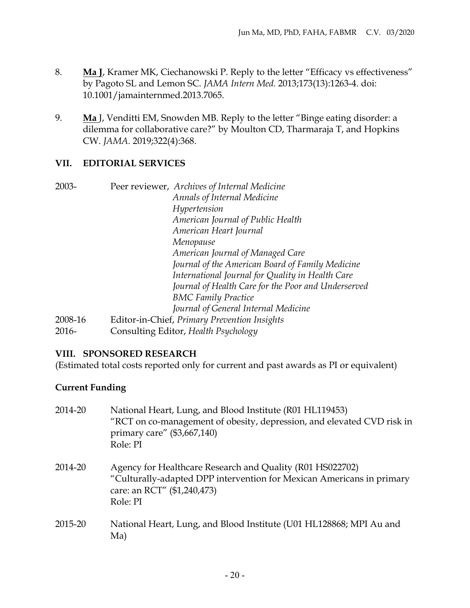- 8. **Ma J**, Kramer MK, Ciechanowski P. Reply to the letter "Efficacy vs effectiveness" by Pagoto SL and Lemon SC. *JAMA Intern Med.* 2013;173(13):1263-4. doi: 10.1001/jamainternmed.2013.7065.
- 9. **Ma** J, Venditti EM, Snowden MB. Reply to the letter "Binge eating disorder: a dilemma for collaborative care?" by Moulton CD, Tharmaraja T, and Hopkins CW. *JAMA.* 2019;322(4):368.

#### **VII. EDITORIAL SERVICES**

- 2003- Peer reviewer, *Archives of Internal Medicine Annals of Internal Medicine Hypertension American Journal of Public Health American Heart Journal Menopause American Journal of Managed Care Journal of the American Board of Family Medicine International Journal for Quality in Health Care Journal of Health Care for the Poor and Underserved BMC Family Practice Journal of General Internal Medicine* 2008-16 Editor-in-Chief, *Primary Prevention Insights*
- 2016- Consulting Editor, *Health Psychology*

## **VIII. SPONSORED RESEARCH**

(Estimated total costs reported only for current and past awards as PI or equivalent)

## **Current Funding**

| 2014-20 | National Heart, Lung, and Blood Institute (R01 HL119453)<br>"RCT on co-management of obesity, depression, and elevated CVD risk in<br>primary care" (\$3,667,140)<br>Role: PI |
|---------|-------------------------------------------------------------------------------------------------------------------------------------------------------------------------------|
| 2014-20 | Agency for Healthcare Research and Quality (R01 HS022702)<br>"Culturally-adapted DPP intervention for Mexican Americans in primary<br>care: an RCT" (\$1,240,473)<br>Role: PI |
| 2015-20 | National Heart, Lung, and Blood Institute (U01 HL128868; MPI Au and<br>Ma)                                                                                                    |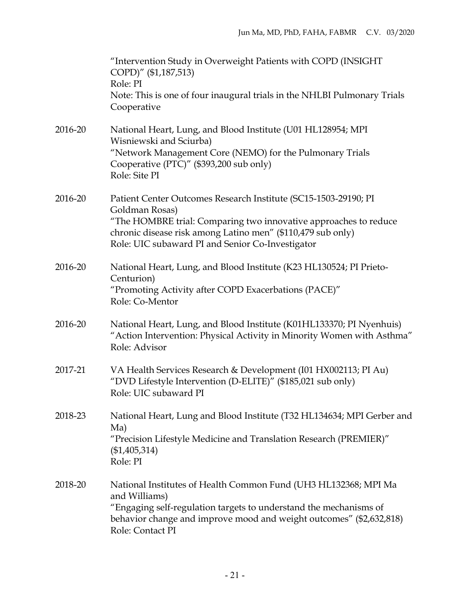|         | "Intervention Study in Overweight Patients with COPD (INSIGHT<br>COPD)" (\$1,187,513)<br>Role: PI                                                                                   |
|---------|-------------------------------------------------------------------------------------------------------------------------------------------------------------------------------------|
|         | Note: This is one of four inaugural trials in the NHLBI Pulmonary Trials<br>Cooperative                                                                                             |
| 2016-20 | National Heart, Lung, and Blood Institute (U01 HL128954; MPI<br>Wisniewski and Sciurba)                                                                                             |
|         | "Network Management Core (NEMO) for the Pulmonary Trials<br>Cooperative (PTC)" (\$393,200 sub only)<br>Role: Site PI                                                                |
| 2016-20 | Patient Center Outcomes Research Institute (SC15-1503-29190; PI<br>Goldman Rosas)                                                                                                   |
|         | "The HOMBRE trial: Comparing two innovative approaches to reduce<br>chronic disease risk among Latino men" (\$110,479 sub only)<br>Role: UIC subaward PI and Senior Co-Investigator |
| 2016-20 | National Heart, Lung, and Blood Institute (K23 HL130524; PI Prieto-<br>Centurion)                                                                                                   |
|         | "Promoting Activity after COPD Exacerbations (PACE)"<br>Role: Co-Mentor                                                                                                             |
| 2016-20 | National Heart, Lung, and Blood Institute (K01HL133370; PI Nyenhuis)<br>"Action Intervention: Physical Activity in Minority Women with Asthma"<br>Role: Advisor                     |
| 2017-21 | VA Health Services Research & Development (I01 HX002113; PI Au)<br>"DVD Lifestyle Intervention (D-ELITE)" (\$185,021 sub only)<br>Role: UIC subaward PI                             |
| 2018-23 | National Heart, Lung and Blood Institute (T32 HL134634; MPI Gerber and<br>Ma)                                                                                                       |
|         | "Precision Lifestyle Medicine and Translation Research (PREMIER)"<br>$(\$1,405,314)$<br>Role: PI                                                                                    |
| 2018-20 | National Institutes of Health Common Fund (UH3 HL132368; MPI Ma<br>and Williams)                                                                                                    |
|         | "Engaging self-regulation targets to understand the mechanisms of<br>behavior change and improve mood and weight outcomes" (\$2,632,818)<br>Role: Contact PI                        |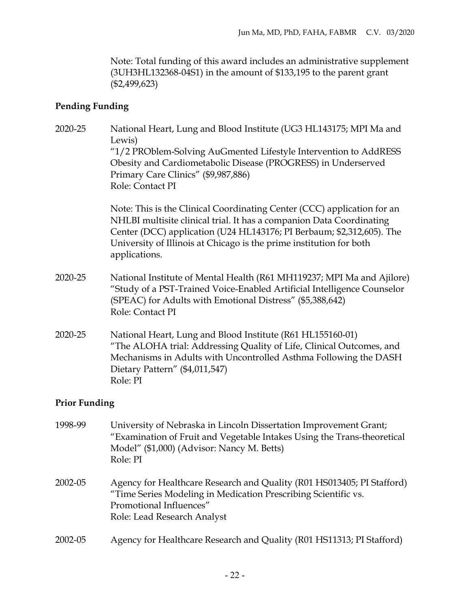Note: Total funding of this award includes an administrative supplement (3UH3HL132368-04S1) in the amount of \$133,195 to the parent grant (\$2,499,623)

## **Pending Funding**

| 2020-25 | National Heart, Lung and Blood Institute (UG3 HL143175; MPI Ma and<br>Lewis)                                                                                                                                                                                                                                     |
|---------|------------------------------------------------------------------------------------------------------------------------------------------------------------------------------------------------------------------------------------------------------------------------------------------------------------------|
|         | "1/2 PROblem-Solving AuGmented Lifestyle Intervention to AddRESS<br>Obesity and Cardiometabolic Disease (PROGRESS) in Underserved                                                                                                                                                                                |
|         | Primary Care Clinics" (\$9,987,886)                                                                                                                                                                                                                                                                              |
|         | Role: Contact PI                                                                                                                                                                                                                                                                                                 |
|         | Note: This is the Clinical Coordinating Center (CCC) application for an<br>NHLBI multisite clinical trial. It has a companion Data Coordinating<br>Center (DCC) application (U24 HL143176; PI Berbaum; \$2,312,605). The<br>University of Illinois at Chicago is the prime institution for both<br>applications. |
| 2020-25 | National Institute of Mental Health (R61 MH119237; MPI Ma and Ajilore)<br>"Study of a PST-Trained Voice-Enabled Artificial Intelligence Counselor<br>(SPEAC) for Adults with Emotional Distress" (\$5,388,642)<br>Role: Contact PI                                                                               |
| 2020-25 | National Heart, Lung and Blood Institute (R61 HL155160-01)<br>"The ALOHA trial: Addressing Quality of Life, Clinical Outcomes, and<br>Mechanisms in Adults with Uncontrolled Asthma Following the DASH<br>Dietary Pattern" (\$4,011,547)<br>Role: PI                                                             |
| n' n 1' |                                                                                                                                                                                                                                                                                                                  |

## **Prior Funding**

| 1998-99 | University of Nebraska in Lincoln Dissertation Improvement Grant;<br>"Examination of Fruit and Vegetable Intakes Using the Trans-theoretical<br>Model" (\$1,000) (Advisor: Nancy M. Betts)<br>Role: PI |
|---------|--------------------------------------------------------------------------------------------------------------------------------------------------------------------------------------------------------|
| 2002-05 | Agency for Healthcare Research and Quality (R01 HS013405; PI Stafford)<br>"Time Series Modeling in Medication Prescribing Scientific vs.<br>Promotional Influences"<br>Role: Lead Research Analyst     |
| 2002-05 | Agency for Healthcare Research and Quality (R01 HS11313; PI Stafford)                                                                                                                                  |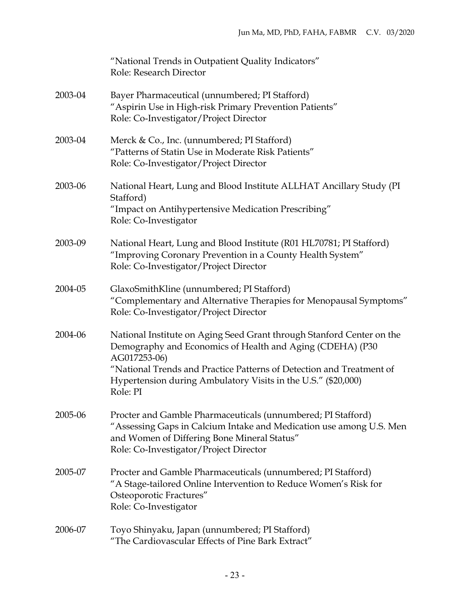|         | "National Trends in Outpatient Quality Indicators"<br>Role: Research Director                                                                                                                                                                                                                           |
|---------|---------------------------------------------------------------------------------------------------------------------------------------------------------------------------------------------------------------------------------------------------------------------------------------------------------|
| 2003-04 | Bayer Pharmaceutical (unnumbered; PI Stafford)<br>"Aspirin Use in High-risk Primary Prevention Patients"<br>Role: Co-Investigator/Project Director                                                                                                                                                      |
| 2003-04 | Merck & Co., Inc. (unnumbered; PI Stafford)<br>"Patterns of Statin Use in Moderate Risk Patients"<br>Role: Co-Investigator/Project Director                                                                                                                                                             |
| 2003-06 | National Heart, Lung and Blood Institute ALLHAT Ancillary Study (PI<br>Stafford)<br>"Impact on Antihypertensive Medication Prescribing"<br>Role: Co-Investigator                                                                                                                                        |
| 2003-09 | National Heart, Lung and Blood Institute (R01 HL70781; PI Stafford)<br>"Improving Coronary Prevention in a County Health System"<br>Role: Co-Investigator/Project Director                                                                                                                              |
| 2004-05 | GlaxoSmithKline (unnumbered; PI Stafford)<br>"Complementary and Alternative Therapies for Menopausal Symptoms"<br>Role: Co-Investigator/Project Director                                                                                                                                                |
| 2004-06 | National Institute on Aging Seed Grant through Stanford Center on the<br>Demography and Economics of Health and Aging (CDEHA) (P30<br>AG017253-06)<br>"National Trends and Practice Patterns of Detection and Treatment of<br>Hypertension during Ambulatory Visits in the U.S." (\$20,000)<br>Role: PI |
| 2005-06 | Procter and Gamble Pharmaceuticals (unnumbered; PI Stafford)<br>"Assessing Gaps in Calcium Intake and Medication use among U.S. Men<br>and Women of Differing Bone Mineral Status"<br>Role: Co-Investigator/Project Director                                                                            |
| 2005-07 | Procter and Gamble Pharmaceuticals (unnumbered; PI Stafford)<br>"A Stage-tailored Online Intervention to Reduce Women's Risk for<br>Osteoporotic Fractures"<br>Role: Co-Investigator                                                                                                                    |
| 2006-07 | Toyo Shinyaku, Japan (unnumbered; PI Stafford)<br>"The Cardiovascular Effects of Pine Bark Extract"                                                                                                                                                                                                     |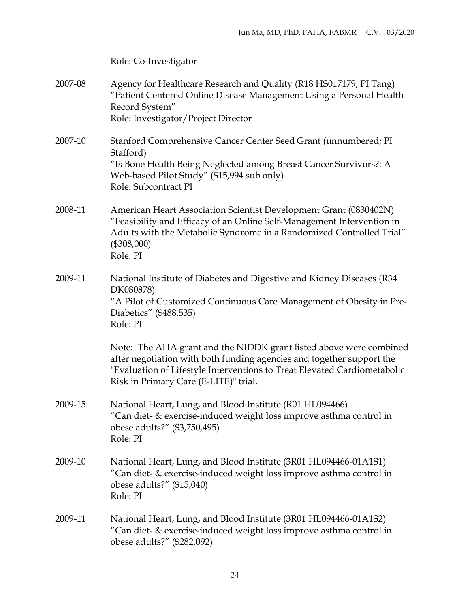|         | Role: Co-Investigator                                                                                                                                                                                                                                            |
|---------|------------------------------------------------------------------------------------------------------------------------------------------------------------------------------------------------------------------------------------------------------------------|
| 2007-08 | Agency for Healthcare Research and Quality (R18 HS017179; PI Tang)<br>"Patient Centered Online Disease Management Using a Personal Health<br>Record System"<br>Role: Investigator/Project Director                                                               |
| 2007-10 | Stanford Comprehensive Cancer Center Seed Grant (unnumbered; PI<br>Stafford)<br>"Is Bone Health Being Neglected among Breast Cancer Survivors?: A<br>Web-based Pilot Study" (\$15,994 sub only)<br>Role: Subcontract PI                                          |
| 2008-11 | American Heart Association Scientist Development Grant (0830402N)<br>"Feasibility and Efficacy of an Online Self-Management Intervention in<br>Adults with the Metabolic Syndrome in a Randomized Controlled Trial"<br>$(\$308,000)$<br>Role: PI                 |
| 2009-11 | National Institute of Diabetes and Digestive and Kidney Diseases (R34<br>DK080878)<br>"A Pilot of Customized Continuous Care Management of Obesity in Pre-<br>Diabetics" (\$488,535)<br>Role: PI                                                                 |
|         | Note: The AHA grant and the NIDDK grant listed above were combined<br>after negotiation with both funding agencies and together support the<br>"Evaluation of Lifestyle Interventions to Treat Elevated Cardiometabolic<br>Risk in Primary Care (E-LITE)" trial. |
| 2009-15 | National Heart, Lung, and Blood Institute (R01 HL094466)<br>"Can diet- & exercise-induced weight loss improve asthma control in<br>obese adults?" (\$3,750,495)<br>Role: PI                                                                                      |
| 2009-10 | National Heart, Lung, and Blood Institute (3R01 HL094466-01A1S1)<br>"Can diet- & exercise-induced weight loss improve asthma control in<br>obese adults?" $(\$15,040)$<br>Role: PI                                                                               |
| 2009-11 | National Heart, Lung, and Blood Institute (3R01 HL094466-01A1S2)<br>"Can diet- & exercise-induced weight loss improve asthma control in<br>obese adults?" (\$282,092)                                                                                            |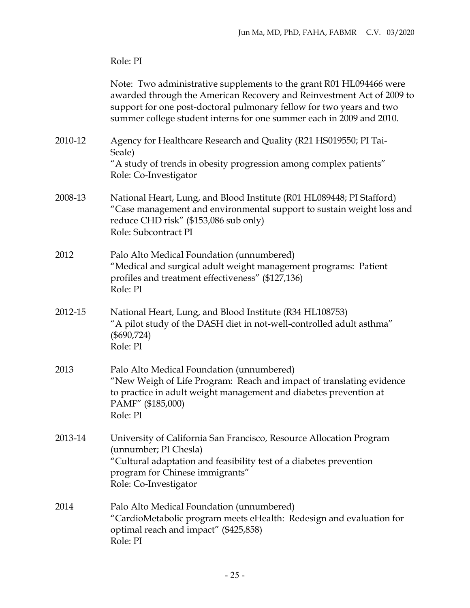|         | Role: PI                                                                                                                                                                                                                                                                                     |
|---------|----------------------------------------------------------------------------------------------------------------------------------------------------------------------------------------------------------------------------------------------------------------------------------------------|
|         | Note: Two administrative supplements to the grant R01 HL094466 were<br>awarded through the American Recovery and Reinvestment Act of 2009 to<br>support for one post-doctoral pulmonary fellow for two years and two<br>summer college student interns for one summer each in 2009 and 2010. |
| 2010-12 | Agency for Healthcare Research and Quality (R21 HS019550; PI Tai-<br>Seale)<br>"A study of trends in obesity progression among complex patients"<br>Role: Co-Investigator                                                                                                                    |
| 2008-13 | National Heart, Lung, and Blood Institute (R01 HL089448; PI Stafford)<br>"Case management and environmental support to sustain weight loss and<br>reduce CHD risk" (\$153,086 sub only)<br>Role: Subcontract PI                                                                              |
| 2012    | Palo Alto Medical Foundation (unnumbered)<br>"Medical and surgical adult weight management programs: Patient<br>profiles and treatment effectiveness" (\$127,136)<br>Role: PI                                                                                                                |
| 2012-15 | National Heart, Lung, and Blood Institute (R34 HL108753)<br>"A pilot study of the DASH diet in not-well-controlled adult asthma"<br>$(\$690,724)$<br>Role: PI                                                                                                                                |
| 2013    | Palo Alto Medical Foundation (unnumbered)<br>"New Weigh of Life Program: Reach and impact of translating evidence<br>to practice in adult weight management and diabetes prevention at<br>PAMF" (\$185,000)<br>Role: PI                                                                      |
| 2013-14 | University of California San Francisco, Resource Allocation Program<br>(unnumber; PI Chesla)<br>"Cultural adaptation and feasibility test of a diabetes prevention<br>program for Chinese immigrants"<br>Role: Co-Investigator                                                               |
| 2014    | Palo Alto Medical Foundation (unnumbered)<br>"CardioMetabolic program meets eHealth: Redesign and evaluation for<br>optimal reach and impact" (\$425,858)<br>Role: PI                                                                                                                        |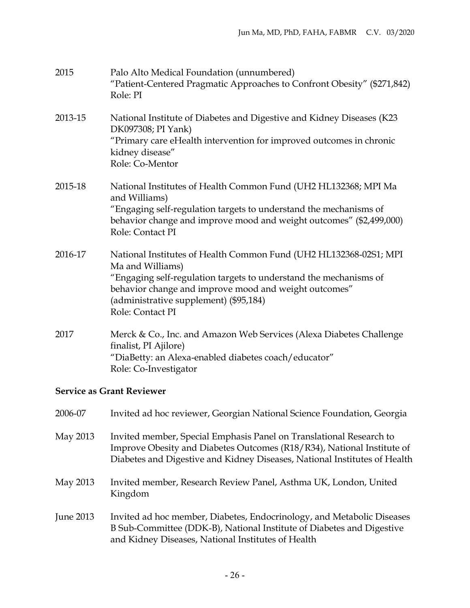| 2015    | Palo Alto Medical Foundation (unnumbered)<br>"Patient-Centered Pragmatic Approaches to Confront Obesity" (\$271,842)<br>Role: PI                                                                                                                                                  |
|---------|-----------------------------------------------------------------------------------------------------------------------------------------------------------------------------------------------------------------------------------------------------------------------------------|
| 2013-15 | National Institute of Diabetes and Digestive and Kidney Diseases (K23<br>DK097308; PI Yank)<br>"Primary care eHealth intervention for improved outcomes in chronic<br>kidney disease"<br>Role: Co-Mentor                                                                          |
| 2015-18 | National Institutes of Health Common Fund (UH2 HL132368; MPI Ma<br>and Williams)<br>"Engaging self-regulation targets to understand the mechanisms of<br>behavior change and improve mood and weight outcomes" (\$2,499,000)<br>Role: Contact PI                                  |
| 2016-17 | National Institutes of Health Common Fund (UH2 HL132368-02S1; MPI<br>Ma and Williams)<br>"Engaging self-regulation targets to understand the mechanisms of<br>behavior change and improve mood and weight outcomes"<br>(administrative supplement) (\$95,184)<br>Role: Contact PI |
| 2017    | Merck & Co., Inc. and Amazon Web Services (Alexa Diabetes Challenge<br>finalist, PI Ajilore)<br>"DiaBetty: an Alexa-enabled diabetes coach/educator"<br>Role: Co-Investigator                                                                                                     |
|         | <b>Service as Grant Reviewer</b>                                                                                                                                                                                                                                                  |

| 2006-07          | Invited ad hoc reviewer, Georgian National Science Foundation, Georgia                                                                                                                                                     |
|------------------|----------------------------------------------------------------------------------------------------------------------------------------------------------------------------------------------------------------------------|
| May 2013         | Invited member, Special Emphasis Panel on Translational Research to<br>Improve Obesity and Diabetes Outcomes (R18/R34), National Institute of<br>Diabetes and Digestive and Kidney Diseases, National Institutes of Health |
| May 2013         | Invited member, Research Review Panel, Asthma UK, London, United<br>Kingdom                                                                                                                                                |
| <b>June 2013</b> | Invited ad hoc member, Diabetes, Endocrinology, and Metabolic Diseases<br>B Sub-Committee (DDK-B), National Institute of Diabetes and Digestive<br>and Kidney Diseases, National Institutes of Health                      |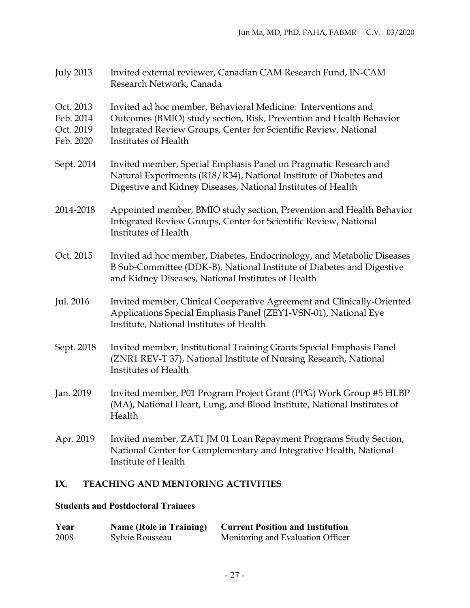- July 2013 Invited external reviewer, Canadian CAM Research Fund, IN-CAM Research Network, Canada
- Oct. 2013 Invited ad hoc member, Behavioral Medicine: Interventions and
- Feb. 2014 Outcomes (BMIO) study section, Risk, Prevention and Health Behavior
- Oct. 2019 Integrated Review Groups, Center for Scientific Review, National
- Feb. 2020 Institutes of Health
- Sept. 2014 Invited member, Special Emphasis Panel on Pragmatic Research and Natural Experiments (R18/R34), National Institute of Diabetes and Digestive and Kidney Diseases, National Institutes of Health
- 2014-2018 Appointed member, BMIO study section, Prevention and Health Behavior Integrated Review Groups, Center for Scientific Review, National Institutes of Health
- Oct. 2015 Invited ad hoc member, Diabetes, Endocrinology, and Metabolic Diseases B Sub-Committee (DDK-B), National Institute of Diabetes and Digestive and Kidney Diseases, National Institutes of Health
- Jul. 2016 Invited member, Clinical Cooperative Agreement and Clinically-Oriented Applications Special Emphasis Panel (ZEY1-VSN-01), National Eye Institute, National Institutes of Health
- Sept. 2018 Invited member, Institutional Training Grants Special Emphasis Panel (ZNR1 REV-T 37), National Institute of Nursing Research, National Institutes of Health
- Jan. 2019 Invited member, P01 Program Project Grant (PPG) Work Group #5 HLBP (MA), National Heart, Lung, and Blood Institute, National Institutes of Health
- Apr. 2019 Invited member, ZAT1 JM 01 Loan Repayment Programs Study Section, National Center for Complementary and Integrative Health, National Institute of Health

## **IX. TEACHING AND MENTORING ACTIVITIES**

## **Students and Postdoctoral Trainees**

| Year | <b>Name (Role in Training)</b> | <b>Current Position and Institution</b> |
|------|--------------------------------|-----------------------------------------|
| 2008 | Sylvie Rousseau                | Monitoring and Evaluation Officer       |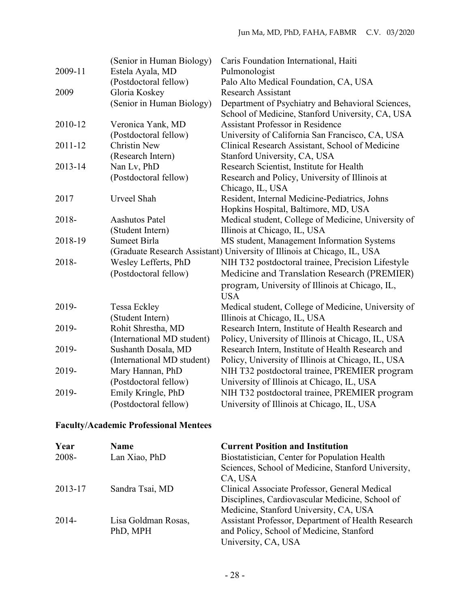|         | (Senior in Human Biology)                                                | Caris Foundation International, Haiti               |  |
|---------|--------------------------------------------------------------------------|-----------------------------------------------------|--|
| 2009-11 | Estela Ayala, MD                                                         | Pulmonologist                                       |  |
|         | (Postdoctoral fellow)                                                    | Palo Alto Medical Foundation, CA, USA               |  |
| 2009    | Gloria Koskey                                                            | <b>Research Assistant</b>                           |  |
|         | (Senior in Human Biology)                                                | Department of Psychiatry and Behavioral Sciences,   |  |
|         |                                                                          | School of Medicine, Stanford University, CA, USA    |  |
| 2010-12 | Veronica Yank, MD                                                        | <b>Assistant Professor in Residence</b>             |  |
|         | (Postdoctoral fellow)                                                    | University of California San Francisco, CA, USA     |  |
| 2011-12 | <b>Christin New</b>                                                      | Clinical Research Assistant, School of Medicine     |  |
|         | (Research Intern)                                                        | Stanford University, CA, USA                        |  |
| 2013-14 | Nan Lv, PhD                                                              | Research Scientist, Institute for Health            |  |
|         | (Postdoctoral fellow)                                                    | Research and Policy, University of Illinois at      |  |
|         |                                                                          | Chicago, IL, USA                                    |  |
| 2017    | Urveel Shah                                                              | Resident, Internal Medicine-Pediatrics, Johns       |  |
|         |                                                                          | Hopkins Hospital, Baltimore, MD, USA                |  |
| 2018-   | Aashutos Patel                                                           | Medical student, College of Medicine, University of |  |
|         | (Student Intern)                                                         | Illinois at Chicago, IL, USA                        |  |
| 2018-19 | <b>Sumeet Birla</b>                                                      | MS student, Management Information Systems          |  |
|         | (Graduate Research Assistant) University of Illinois at Chicago, IL, USA |                                                     |  |
| 2018-   | Wesley Lefferts, PhD                                                     | NIH T32 postdoctoral trainee, Precision Lifestyle   |  |
|         | (Postdoctoral fellow)                                                    | Medicine and Translation Research (PREMIER)         |  |
|         |                                                                          | program, University of Illinois at Chicago, IL,     |  |
|         |                                                                          | <b>USA</b>                                          |  |
| 2019-   | Tessa Eckley                                                             | Medical student, College of Medicine, University of |  |
|         | (Student Intern)                                                         | Illinois at Chicago, IL, USA                        |  |
| 2019-   | Rohit Shrestha, MD                                                       | Research Intern, Institute of Health Research and   |  |
|         | (International MD student)                                               | Policy, University of Illinois at Chicago, IL, USA  |  |
| 2019-   | Sushanth Dosala, MD                                                      | Research Intern, Institute of Health Research and   |  |
|         | (International MD student)                                               | Policy, University of Illinois at Chicago, IL, USA  |  |
| 2019-   | Mary Hannan, PhD                                                         | NIH T32 postdoctoral trainee, PREMIER program       |  |
|         | (Postdoctoral fellow)                                                    | University of Illinois at Chicago, IL, USA          |  |
| 2019-   | Emily Kringle, PhD                                                       | NIH T32 postdoctoral trainee, PREMIER program       |  |
|         | (Postdoctoral fellow)                                                    | University of Illinois at Chicago, IL, USA          |  |
|         |                                                                          |                                                     |  |

## **Faculty/Academic Professional Mentees**

| Year    | <b>Name</b>         | <b>Current Position and Institution</b>            |
|---------|---------------------|----------------------------------------------------|
| 2008-   | Lan Xiao, PhD       | Biostatistician, Center for Population Health      |
|         |                     | Sciences, School of Medicine, Stanford University, |
|         |                     | CA, USA                                            |
| 2013-17 | Sandra Tsai, MD     | Clinical Associate Professor, General Medical      |
|         |                     | Disciplines, Cardiovascular Medicine, School of    |
|         |                     | Medicine, Stanford University, CA, USA             |
| $2014-$ | Lisa Goldman Rosas, | Assistant Professor, Department of Health Research |
|         | PhD, MPH            | and Policy, School of Medicine, Stanford           |
|         |                     | University, CA, USA                                |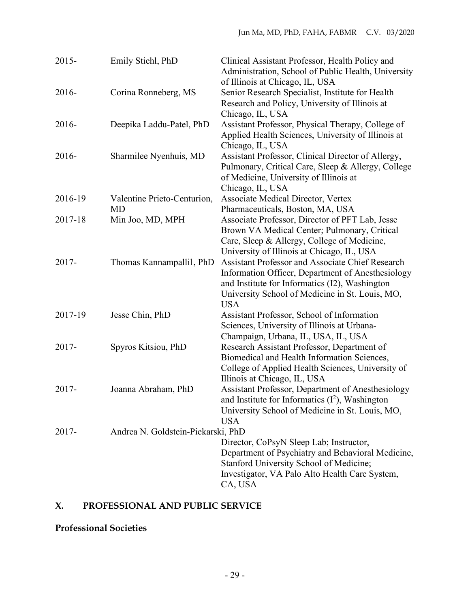| $2015 -$ | Emily Stiehl, PhD                  | Clinical Assistant Professor, Health Policy and<br>Administration, School of Public Health, University                                                                                                                          |
|----------|------------------------------------|---------------------------------------------------------------------------------------------------------------------------------------------------------------------------------------------------------------------------------|
| 2016-    | Corina Ronneberg, MS               | of Illinois at Chicago, IL, USA<br>Senior Research Specialist, Institute for Health<br>Research and Policy, University of Illinois at<br>Chicago, IL, USA                                                                       |
| 2016-    | Deepika Laddu-Patel, PhD           | Assistant Professor, Physical Therapy, College of<br>Applied Health Sciences, University of Illinois at<br>Chicago, IL, USA                                                                                                     |
| 2016-    | Sharmilee Nyenhuis, MD             | Assistant Professor, Clinical Director of Allergy,<br>Pulmonary, Critical Care, Sleep & Allergy, College<br>of Medicine, University of Illinois at<br>Chicago, IL, USA                                                          |
| 2016-19  | Valentine Prieto-Centurion,<br>MD  | Associate Medical Director, Vertex<br>Pharmaceuticals, Boston, MA, USA                                                                                                                                                          |
| 2017-18  | Min Joo, MD, MPH                   | Associate Professor, Director of PFT Lab, Jesse<br>Brown VA Medical Center; Pulmonary, Critical<br>Care, Sleep & Allergy, College of Medicine,<br>University of Illinois at Chicago, IL, USA                                    |
| 2017-    | Thomas Kannampallil, PhD           | <b>Assistant Professor and Associate Chief Research</b><br>Information Officer, Department of Anesthesiology<br>and Institute for Informatics (I2), Washington<br>University School of Medicine in St. Louis, MO,<br><b>USA</b> |
| 2017-19  | Jesse Chin, PhD                    | Assistant Professor, School of Information<br>Sciences, University of Illinois at Urbana-<br>Champaign, Urbana, IL, USA, IL, USA                                                                                                |
| 2017-    | Spyros Kitsiou, PhD                | Research Assistant Professor, Department of<br>Biomedical and Health Information Sciences,<br>College of Applied Health Sciences, University of<br>Illinois at Chicago, IL, USA                                                 |
| $2017 -$ | Joanna Abraham, PhD                | Assistant Professor, Department of Anesthesiology<br>and Institute for Informatics $(I^2)$ , Washington<br>University School of Medicine in St. Louis, MO,<br><b>USA</b>                                                        |
| 2017-    | Andrea N. Goldstein-Piekarski, PhD |                                                                                                                                                                                                                                 |
|          |                                    | Director, CoPsyN Sleep Lab; Instructor,<br>Department of Psychiatry and Behavioral Medicine,<br>Stanford University School of Medicine;<br>Investigator, VA Palo Alto Health Care System,<br>CA, USA                            |

## **X. PROFESSIONAL AND PUBLIC SERVICE**

**Professional Societies**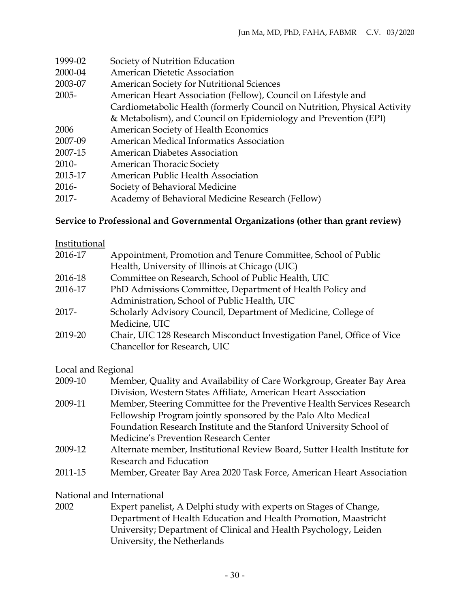| 1999-02  | Society of Nutrition Education                                           |
|----------|--------------------------------------------------------------------------|
| 2000-04  | American Dietetic Association                                            |
| 2003-07  | <b>American Society for Nutritional Sciences</b>                         |
| $2005 -$ | American Heart Association (Fellow), Council on Lifestyle and            |
|          | Cardiometabolic Health (formerly Council on Nutrition, Physical Activity |
|          | & Metabolism), and Council on Epidemiology and Prevention (EPI)          |
| 2006     | American Society of Health Economics                                     |
| 2007-09  | American Medical Informatics Association                                 |
| 2007-15  | <b>American Diabetes Association</b>                                     |
| $2010-$  | <b>American Thoracic Society</b>                                         |
| 2015-17  | American Public Health Association                                       |
| $2016-$  | Society of Behavioral Medicine                                           |
| 2017-    | Academy of Behavioral Medicine Research (Fellow)                         |

#### **Service to Professional and Governmental Organizations (other than grant review)**

| Institutional |                                                                        |
|---------------|------------------------------------------------------------------------|
| 2016-17       | Appointment, Promotion and Tenure Committee, School of Public          |
|               | Health, University of Illinois at Chicago (UIC)                        |
| 2016-18       | Committee on Research, School of Public Health, UIC                    |
| 2016-17       | PhD Admissions Committee, Department of Health Policy and              |
|               | Administration, School of Public Health, UIC                           |
| $2017 -$      | Scholarly Advisory Council, Department of Medicine, College of         |
|               | Medicine, UIC                                                          |
| 2019-20       | Chair, UIC 128 Research Misconduct Investigation Panel, Office of Vice |
|               | Chancellor for Research, UIC                                           |

## Local and Regional

| 2009-10 | Member, Quality and Availability of Care Workgroup, Greater Bay Area      |
|---------|---------------------------------------------------------------------------|
|         | Division, Western States Affiliate, American Heart Association            |
| 2009-11 | Member, Steering Committee for the Preventive Health Services Research    |
|         | Fellowship Program jointly sponsored by the Palo Alto Medical             |
|         | Foundation Research Institute and the Stanford University School of       |
|         | Medicine's Prevention Research Center                                     |
| 2009-12 | Alternate member, Institutional Review Board, Sutter Health Institute for |
|         | Research and Education                                                    |
| 2011-15 | Member, Greater Bay Area 2020 Task Force, American Heart Association      |

#### National and International

2002 Expert panelist, A Delphi study with experts on Stages of Change, Department of Health Education and Health Promotion, Maastricht University; Department of Clinical and Health Psychology, Leiden University, the Netherlands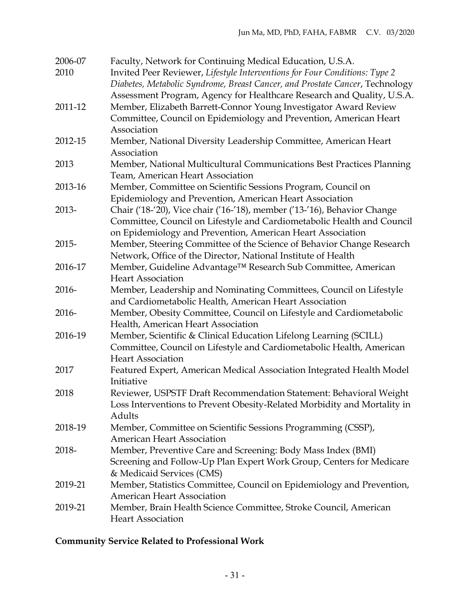| 2006-07<br>2010 | Faculty, Network for Continuing Medical Education, U.S.A.<br>Invited Peer Reviewer, Lifestyle Interventions for Four Conditions: Type 2                               |
|-----------------|-----------------------------------------------------------------------------------------------------------------------------------------------------------------------|
|                 | Diabetes, Metabolic Syndrome, Breast Cancer, and Prostate Cancer, Technology<br>Assessment Program, Agency for Healthcare Research and Quality, U.S.A.                |
| 2011-12         | Member, Elizabeth Barrett-Connor Young Investigator Award Review<br>Committee, Council on Epidemiology and Prevention, American Heart<br>Association                  |
| 2012-15         | Member, National Diversity Leadership Committee, American Heart                                                                                                       |
|                 | Association                                                                                                                                                           |
| 2013            | Member, National Multicultural Communications Best Practices Planning<br>Team, American Heart Association                                                             |
| 2013-16         | Member, Committee on Scientific Sessions Program, Council on                                                                                                          |
|                 | Epidemiology and Prevention, American Heart Association                                                                                                               |
| 2013-           | Chair ('18-'20), Vice chair ('16-'18), member ('13-'16), Behavior Change                                                                                              |
|                 | Committee, Council on Lifestyle and Cardiometabolic Health and Council<br>on Epidemiology and Prevention, American Heart Association                                  |
| 2015-           | Member, Steering Committee of the Science of Behavior Change Research<br>Network, Office of the Director, National Institute of Health                                |
| 2016-17         | Member, Guideline Advantage™ Research Sub Committee, American<br><b>Heart Association</b>                                                                             |
| 2016-           | Member, Leadership and Nominating Committees, Council on Lifestyle<br>and Cardiometabolic Health, American Heart Association                                          |
| 2016-           | Member, Obesity Committee, Council on Lifestyle and Cardiometabolic<br>Health, American Heart Association                                                             |
| 2016-19         | Member, Scientific & Clinical Education Lifelong Learning (SCILL)<br>Committee, Council on Lifestyle and Cardiometabolic Health, American<br><b>Heart Association</b> |
| 2017            | Featured Expert, American Medical Association Integrated Health Model<br>Initiative                                                                                   |
| 2018            | Reviewer, USPSTF Draft Recommendation Statement: Behavioral Weight<br>Loss Interventions to Prevent Obesity-Related Morbidity and Mortality in<br>Adults              |
| 2018-19         | Member, Committee on Scientific Sessions Programming (CSSP),<br><b>American Heart Association</b>                                                                     |
| 2018-           | Member, Preventive Care and Screening: Body Mass Index (BMI)<br>Screening and Follow-Up Plan Expert Work Group, Centers for Medicare<br>& Medicaid Services (CMS)     |
| 2019-21         | Member, Statistics Committee, Council on Epidemiology and Prevention,<br><b>American Heart Association</b>                                                            |
| 2019-21         | Member, Brain Health Science Committee, Stroke Council, American<br><b>Heart Association</b>                                                                          |

## **Community Service Related to Professional Work**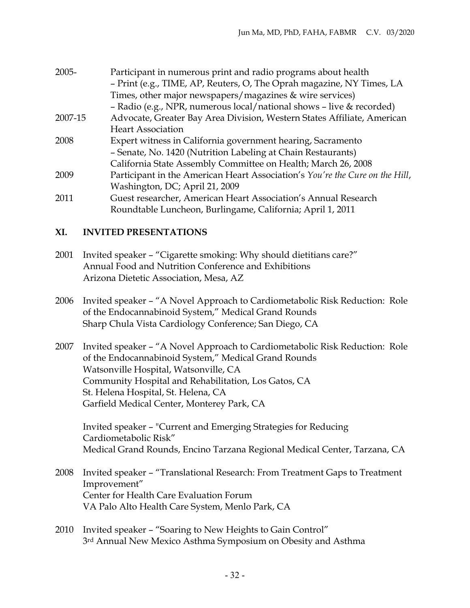| 2005-   | Participant in numerous print and radio programs about health                |
|---------|------------------------------------------------------------------------------|
|         | - Print (e.g., TIME, AP, Reuters, O, The Oprah magazine, NY Times, LA        |
|         | Times, other major newspapers/magazines & wire services)                     |
|         | - Radio (e.g., NPR, numerous local/national shows - live & recorded)         |
| 2007-15 | Advocate, Greater Bay Area Division, Western States Affiliate, American      |
|         | <b>Heart Association</b>                                                     |
| 2008    | Expert witness in California government hearing, Sacramento                  |
|         | - Senate, No. 1420 (Nutrition Labeling at Chain Restaurants)                 |
|         | California State Assembly Committee on Health; March 26, 2008                |
| 2009    | Participant in the American Heart Association's You're the Cure on the Hill, |
|         | Washington, DC; April 21, 2009                                               |
| 2011    | Guest researcher, American Heart Association's Annual Research               |
|         | Roundtable Luncheon, Burlingame, California; April 1, 2011                   |

## **XI. INVITED PRESENTATIONS**

- 2001 Invited speaker "Cigarette smoking: Why should dietitians care?" Annual Food and Nutrition Conference and Exhibitions Arizona Dietetic Association, Mesa, AZ
- 2006 Invited speaker "A Novel Approach to Cardiometabolic Risk Reduction: Role of the Endocannabinoid System," Medical Grand Rounds Sharp Chula Vista Cardiology Conference; San Diego, CA
- 2007 Invited speaker "A Novel Approach to Cardiometabolic Risk Reduction: Role of the Endocannabinoid System," Medical Grand Rounds Watsonville Hospital, Watsonville, CA Community Hospital and Rehabilitation, Los Gatos, CA St. Helena Hospital, St. Helena, CA Garfield Medical Center, Monterey Park, CA

Invited speaker – "Current and Emerging Strategies for Reducing Cardiometabolic Risk" Medical Grand Rounds, Encino Tarzana Regional Medical Center, Tarzana, CA

- 2008 Invited speaker "Translational Research: From Treatment Gaps to Treatment Improvement" Center for Health Care Evaluation Forum VA Palo Alto Health Care System, Menlo Park, CA
- 2010 Invited speaker "Soaring to New Heights to Gain Control" 3rd Annual New Mexico Asthma Symposium on Obesity and Asthma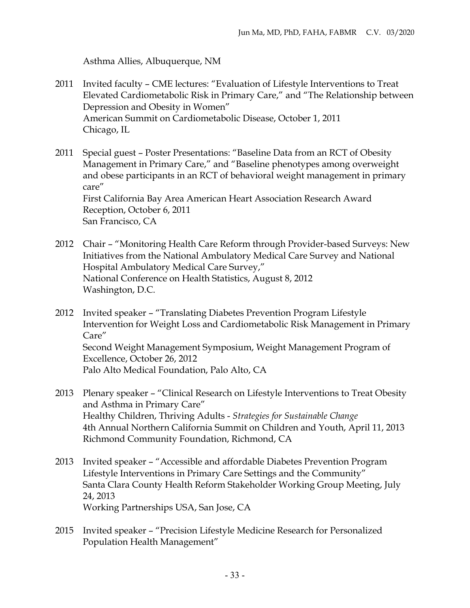Asthma Allies, Albuquerque, NM

- 2011 Invited faculty CME lectures: "Evaluation of Lifestyle Interventions to Treat Elevated Cardiometabolic Risk in Primary Care," and "The Relationship between Depression and Obesity in Women" American Summit on Cardiometabolic Disease, October 1, 2011 Chicago, IL
- 2011 Special guest Poster Presentations: "Baseline Data from an RCT of Obesity Management in Primary Care," and "Baseline phenotypes among overweight and obese participants in an RCT of behavioral weight management in primary care" First California Bay Area American Heart Association Research Award Reception, October 6, 2011 San Francisco, CA
- 2012 Chair "Monitoring Health Care Reform through Provider-based Surveys: New Initiatives from the National Ambulatory Medical Care Survey and National Hospital Ambulatory Medical Care Survey," National Conference on Health Statistics, August 8, 2012 Washington, D.C.
- 2012 Invited speaker "Translating Diabetes Prevention Program Lifestyle Intervention for Weight Loss and Cardiometabolic Risk Management in Primary Care" Second Weight Management Symposium, Weight Management Program of Excellence, October 26, 2012 Palo Alto Medical Foundation, Palo Alto, CA
- 2013 Plenary speaker "Clinical Research on Lifestyle Interventions to Treat Obesity and Asthma in Primary Care" Healthy Children, Thriving Adults - *Strategies for Sustainable Change* 4th Annual Northern California Summit on Children and Youth, April 11, 2013 Richmond Community Foundation, Richmond, CA
- 2013 Invited speaker "Accessible and affordable Diabetes Prevention Program Lifestyle Interventions in Primary Care Settings and the Community" Santa Clara County Health Reform Stakeholder Working Group Meeting, July 24, 2013 Working Partnerships USA, San Jose, CA
- 2015 Invited speaker "Precision Lifestyle Medicine Research for Personalized Population Health Management"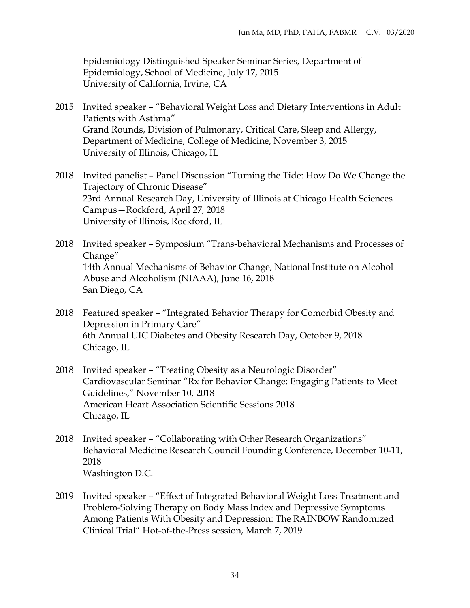Epidemiology Distinguished Speaker Seminar Series, Department of Epidemiology, School of Medicine, July 17, 2015 University of California, Irvine, CA

- 2015 Invited speaker "Behavioral Weight Loss and Dietary Interventions in Adult Patients with Asthma" Grand Rounds, Division of Pulmonary, Critical Care, Sleep and Allergy, Department of Medicine, College of Medicine, November 3, 2015 University of Illinois, Chicago, IL
- 2018 Invited panelist Panel Discussion "Turning the Tide: How Do We Change the Trajectory of Chronic Disease" 23rd Annual Research Day, University of Illinois at Chicago Health Sciences Campus—Rockford, April 27, 2018 University of Illinois, Rockford, IL
- 2018 Invited speaker Symposium "Trans-behavioral Mechanisms and Processes of Change" 14th Annual Mechanisms of Behavior Change, National Institute on Alcohol Abuse and Alcoholism (NIAAA), June 16, 2018 San Diego, CA
- 2018 Featured speaker "Integrated Behavior Therapy for Comorbid Obesity and Depression in Primary Care" 6th Annual UIC Diabetes and Obesity Research Day, October 9, 2018 Chicago, IL
- 2018 Invited speaker "Treating Obesity as a Neurologic Disorder" Cardiovascular Seminar "Rx for Behavior Change: Engaging Patients to Meet Guidelines," November 10, 2018 American Heart Association Scientific Sessions 2018 Chicago, IL
- 2018 Invited speaker "Collaborating with Other Research Organizations" Behavioral Medicine Research Council Founding Conference, December 10-11, 2018 Washington D.C.
- 2019 Invited speaker "Effect of Integrated Behavioral Weight Loss Treatment and Problem-Solving Therapy on Body Mass Index and Depressive Symptoms Among Patients With Obesity and Depression: The RAINBOW Randomized Clinical Trial" Hot-of-the-Press session, March 7, 2019